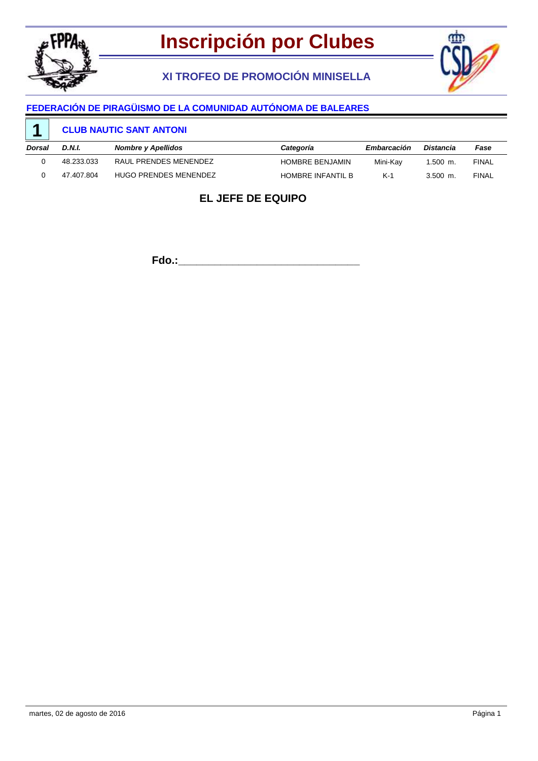

# **XI TROFEO DE PROMOCIÓN MINISELLA**



### **FEDERACIÓN DE PIRAGÜISMO DE LA COMUNIDAD AUTÓNOMA DE BALEARES**

#### **CLUB NAUTIC SANT ANTONI 1**

| Dorsal | D.N.I.     | <b>Nombre y Apellidos</b> | Categoría              | Embarcación | Distancia  | Fase         |
|--------|------------|---------------------------|------------------------|-------------|------------|--------------|
|        | 48.233.033 | RAUL PRENDES MENENDEZ     | <b>HOMBRE BENJAMIN</b> | Mini-Kav    | $1.500$ m. | <b>FINAL</b> |
|        | 47.407.804 | HUGO PRENDES MENENDEZ     | HOMBRE INFANTIL B      | $K-1$       | $3.500$ m. | <b>FINAL</b> |

## **EL JEFE DE EQUIPO**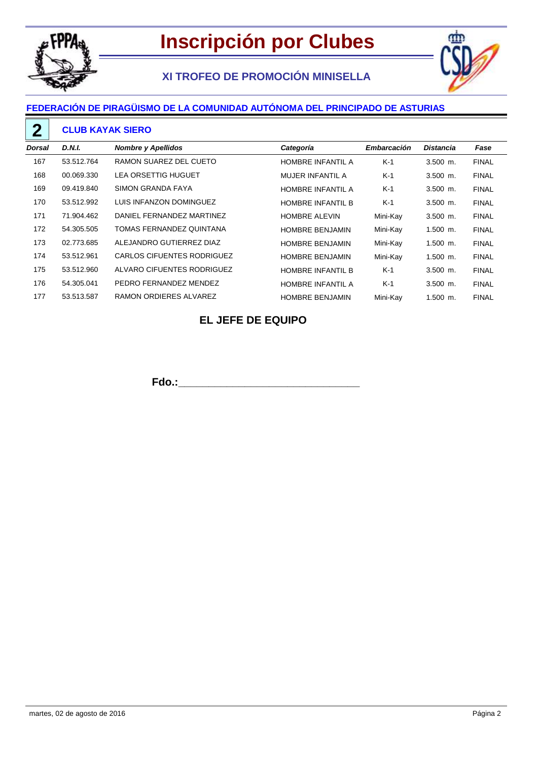

# **XI TROFEO DE PROMOCIÓN MINISELLA**



## **FEDERACIÓN DE PIRAGÜISMO DE LA COMUNIDAD AUTÓNOMA DEL PRINCIPADO DE ASTURIAS**

#### **CLUB KAYAK SIERO 2**

| Dorsal | <b>D.N.I.</b> | <b>Nombre y Apellidos</b>  | Categoría                | Embarcación | <b>Distancia</b> | Fase         |
|--------|---------------|----------------------------|--------------------------|-------------|------------------|--------------|
| 167    | 53.512.764    | RAMON SUAREZ DEL CUETO     | <b>HOMBRE INFANTIL A</b> | $K-1$       | $3.500$ m.       | <b>FINAL</b> |
| 168    | 00.069.330    | <b>LEA ORSETTIG HUGUET</b> | MUJER INFANTIL A         | $K-1$       | $3.500$ m.       | <b>FINAL</b> |
| 169    | 09.419.840    | SIMON GRANDA FAYA          | <b>HOMBRE INFANTIL A</b> | $K-1$       | $3.500$ m.       | <b>FINAL</b> |
| 170    | 53.512.992    | LUIS INFANZON DOMINGUEZ    | <b>HOMBRE INFANTIL B</b> | $K-1$       | $3.500$ m.       | <b>FINAL</b> |
| 171    | 71.904.462    | DANIEL FERNANDEZ MARTINEZ  | <b>HOMBRE ALEVIN</b>     | Mini-Kay    | $3.500$ m.       | <b>FINAL</b> |
| 172    | 54.305.505    | TOMAS FERNANDEZ QUINTANA   | <b>HOMBRE BENJAMIN</b>   | Mini-Kay    | $1.500$ m.       | <b>FINAL</b> |
| 173    | 02.773.685    | ALEJANDRO GUTIERREZ DIAZ   | <b>HOMBRE BENJAMIN</b>   | Mini-Kay    | $1.500$ m.       | <b>FINAL</b> |
| 174    | 53.512.961    | CARLOS CIFUENTES RODRIGUEZ | <b>HOMBRE BENJAMIN</b>   | Mini-Kay    | $1.500$ m.       | <b>FINAL</b> |
| 175    | 53.512.960    | ALVARO CIFUENTES RODRIGUEZ | <b>HOMBRE INFANTIL B</b> | $K-1$       | $3.500$ m.       | <b>FINAL</b> |
| 176    | 54.305.041    | PEDRO FERNANDEZ MENDEZ     | <b>HOMBRE INFANTIL A</b> | $K-1$       | $3.500$ m.       | <b>FINAL</b> |
| 177    | 53.513.587    | RAMON ORDIERES ALVAREZ     | <b>HOMBRE BENJAMIN</b>   | Mini-Kay    | $1.500$ m.       | <b>FINAL</b> |

### **EL JEFE DE EQUIPO**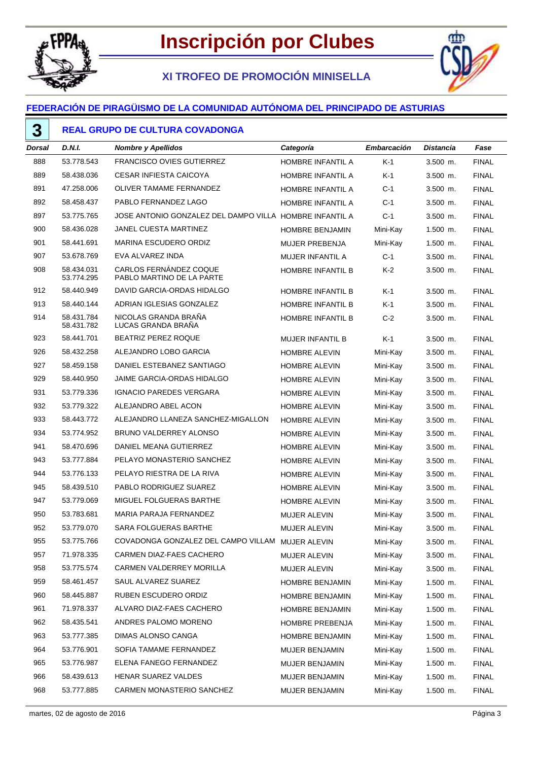

# **Inscripción por Clubes**

# **XI TROFEO DE PROMOCIÓN MINISELLA**



### **FEDERACIÓN DE PIRAGÜISMO DE LA COMUNIDAD AUTÓNOMA DEL PRINCIPADO DE ASTURIAS**

## **REAL GRUPO DE CULTURA COVADONGA**

| Dorsal | D.N.I.                   | <b>Nombre y Apellidos</b>                               | Categoría                | <b>Embarcación</b> | <b>Distancia</b> | Fase         |
|--------|--------------------------|---------------------------------------------------------|--------------------------|--------------------|------------------|--------------|
| 888    | 53.778.543               | <b>FRANCISCO OVIES GUTIERREZ</b>                        | <b>HOMBRE INFANTIL A</b> | $K-1$              | 3.500 m.         | <b>FINAL</b> |
| 889    | 58.438.036               | <b>CESAR INFIESTA CAICOYA</b>                           | HOMBRE INFANTIL A        | K-1                | $3.500$ m.       | <b>FINAL</b> |
| 891    | 47.258.006               | <b>OLIVER TAMAME FERNANDEZ</b>                          | HOMBRE INFANTIL A        | $C-1$              | 3.500 m.         | <b>FINAL</b> |
| 892    | 58.458.437               | PABLO FERNANDEZ LAGO                                    | HOMBRE INFANTIL A        | C-1                | $3.500$ m.       | <b>FINAL</b> |
| 897    | 53.775.765               | JOSE ANTONIO GONZALEZ DEL DAMPO VILLA HOMBRE INFANTIL A |                          | $C-1$              | $3.500$ m.       | <b>FINAL</b> |
| 900    | 58.436.028               | <b>JANEL CUESTA MARTINEZ</b>                            | <b>HOMBRE BENJAMIN</b>   | Mini-Kay           | $1.500$ m.       | <b>FINAL</b> |
| 901    | 58.441.691               | <b>MARINA ESCUDERO ORDIZ</b>                            | <b>MUJER PREBENJA</b>    | Mini-Kay           | 1.500 m.         | <b>FINAL</b> |
| 907    | 53.678.769               | EVA ALVAREZ INDA                                        | MUJER INFANTIL A         | $C-1$              | $3.500$ m.       | <b>FINAL</b> |
| 908    | 58.434.031<br>53.774.295 | CARLOS FERNÁNDEZ COQUE<br>PABLO MARTINO DE LA PARTE     | HOMBRE INFANTIL B        | K-2                | 3.500 m.         | <b>FINAL</b> |
| 912    | 58.440.949               | DAVID GARCIA-ORDAS HIDALGO                              | <b>HOMBRE INFANTIL B</b> | K-1                | $3.500$ m.       | <b>FINAL</b> |
| 913    | 58.440.144               | ADRIAN IGLESIAS GONZALEZ                                | HOMBRE INFANTIL B        | K-1                | $3.500$ m.       | <b>FINAL</b> |
| 914    | 58.431.784<br>58.431.782 | NICOLAS GRANDA BRANA<br>LUCAS GRANDA BRAÑA              | HOMBRE INFANTIL B        | $C-2$              | $3.500$ m.       | <b>FINAL</b> |
| 923    | 58.441.701               | <b>BEATRIZ PEREZ ROQUE</b>                              | <b>MUJER INFANTIL B</b>  | $K-1$              | $3.500$ m.       | <b>FINAL</b> |
| 926    | 58.432.258               | ALEJANDRO LOBO GARCIA                                   | <b>HOMBRE ALEVIN</b>     | Mini-Kay           | $3.500$ m.       | <b>FINAL</b> |
| 927    | 58.459.158               | DANIEL ESTEBANEZ SANTIAGO                               | <b>HOMBRE ALEVIN</b>     | Mini-Kay           | $3.500$ m.       | <b>FINAL</b> |
| 929    | 58.440.950               | <b>JAIME GARCIA-ORDAS HIDALGO</b>                       | <b>HOMBRE ALEVIN</b>     | Mini-Kay           | $3.500$ m.       | <b>FINAL</b> |
| 931    | 53.779.336               | <b>IGNACIO PAREDES VERGARA</b>                          | <b>HOMBRE ALEVIN</b>     | Mini-Kay           | $3.500$ m.       | <b>FINAL</b> |
| 932    | 53.779.322               | ALEJANDRO ABEL ACON                                     | <b>HOMBRE ALEVIN</b>     | Mini-Kay           | $3.500$ m.       | <b>FINAL</b> |
| 933    | 58.443.772               | ALEJANDRO LLANEZA SANCHEZ-MIGALLON                      | <b>HOMBRE ALEVIN</b>     | Mini-Kay           | $3.500$ m.       | <b>FINAL</b> |
| 934    | 53.774.952               | BRUNO VALDERREY ALONSO                                  | <b>HOMBRE ALEVIN</b>     | Mini-Kay           | $3.500$ m.       | <b>FINAL</b> |
| 941    | 58.470.696               | DANIEL MEANA GUTIERREZ                                  | <b>HOMBRE ALEVIN</b>     | Mini-Kay           | $3.500$ m.       | <b>FINAL</b> |
| 943    | 53.777.884               | PELAYO MONASTERIO SANCHEZ                               | <b>HOMBRE ALEVIN</b>     | Mini-Kay           | $3.500$ m.       | <b>FINAL</b> |
| 944    | 53.776.133               | PELAYO RIESTRA DE LA RIVA                               | <b>HOMBRE ALEVIN</b>     | Mini-Kay           | $3.500$ m.       | <b>FINAL</b> |
| 945    | 58.439.510               | PABLO RODRIGUEZ SUAREZ                                  | <b>HOMBRE ALEVIN</b>     | Mini-Kay           | $3.500$ m.       | <b>FINAL</b> |
| 947    | 53.779.069               | MIGUEL FOLGUERAS BARTHE                                 | <b>HOMBRE ALEVIN</b>     | Mini-Kay           | $3.500$ m.       | <b>FINAL</b> |
| 950    | 53.783.681               | MARIA PARAJA FERNANDEZ                                  | <b>MUJER ALEVIN</b>      | Mini-Kay           | $3.500$ m.       | <b>FINAL</b> |
| 952    | 53.779.070               | SARA FOLGUERAS BARTHE                                   | <b>MUJER ALEVIN</b>      | Mini-Kay           | $3.500$ m.       | <b>FINAL</b> |
| 955    | 53.775.766               | COVADONGA GONZALEZ DEL CAMPO VILLAM MUJER ALEVIN        |                          | Mini-Kay           | 3.500 m.         | <b>FINAL</b> |
| 957    | 71.978.335               | CARMEN DIAZ-FAES CACHERO                                | MUJER ALEVIN             | Mini-Kay           | $3.500$ m.       | <b>FINAL</b> |
| 958    | 53.775.574               | CARMEN VALDERREY MORILLA                                | MUJER ALEVIN             | Mini-Kay           | $3.500$ m.       | <b>FINAL</b> |
| 959    | 58.461.457               | SAUL ALVAREZ SUAREZ                                     | <b>HOMBRE BENJAMIN</b>   | Mini-Kay           | $1.500$ m.       | <b>FINAL</b> |
| 960    | 58.445.887               | RUBEN ESCUDERO ORDIZ                                    | HOMBRE BENJAMIN          | Mini-Kay           | $1.500$ m.       | <b>FINAL</b> |
| 961    | 71.978.337               | ALVARO DIAZ-FAES CACHERO                                | HOMBRE BENJAMIN          | Mini-Kay           | $1.500$ m.       | <b>FINAL</b> |
| 962    | 58.435.541               | ANDRES PALOMO MORENO                                    | HOMBRE PREBENJA          | Mini-Kay           | $1.500$ m.       | <b>FINAL</b> |
| 963    | 53.777.385               | DIMAS ALONSO CANGA                                      | <b>HOMBRE BENJAMIN</b>   | Mini-Kay           | $1.500$ m.       | <b>FINAL</b> |
| 964    | 53.776.901               | SOFIA TAMAME FERNANDEZ                                  | MUJER BENJAMIN           | Mini-Kay           | $1.500$ m.       | <b>FINAL</b> |
| 965    | 53.776.987               | ELENA FANEGO FERNANDEZ                                  | MUJER BENJAMIN           | Mini-Kay           | $1.500$ m.       | <b>FINAL</b> |
| 966    | 58.439.613               | HENAR SUAREZ VALDES                                     | MUJER BENJAMIN           | Mini-Kay           | $1.500$ m.       | <b>FINAL</b> |
| 968    | 53.777.885               | CARMEN MONASTERIO SANCHEZ                               | <b>MUJER BENJAMIN</b>    | Mini-Kay           | $1.500$ m.       | <b>FINAL</b> |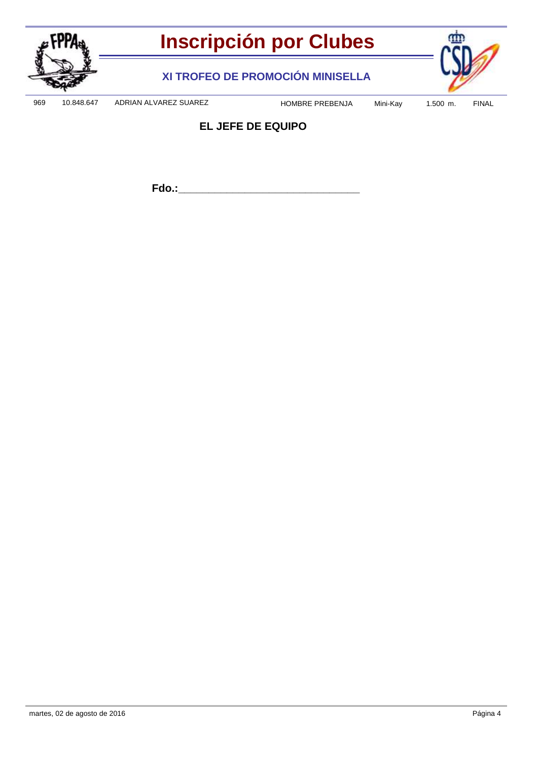

**XI TROFEO DE PROMOCIÓN MINISELLA**



969 10.848.647 ADRIAN ALVAREZ SUAREZ HOMBRE PREBENJA Mini-Kay 1.500 m. FINAL

## **EL JEFE DE EQUIPO**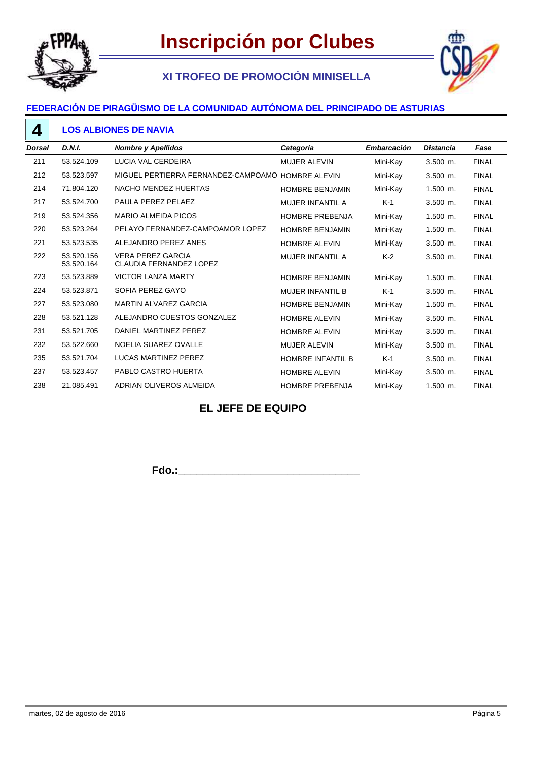

# **XI TROFEO DE PROMOCIÓN MINISELLA**



#### **FEDERACIÓN DE PIRAGÜISMO DE LA COMUNIDAD AUTÓNOMA DEL PRINCIPADO DE ASTURIAS**

### **LOS ALBIONES DE NAVIA**

| <b>Dorsal</b> | <b>D.N.I.</b>            | <b>Nombre y Apellidos</b>                                  | Categoría                | <b>Embarcación</b> | <b>Distancia</b> | Fase         |
|---------------|--------------------------|------------------------------------------------------------|--------------------------|--------------------|------------------|--------------|
| 211           | 53.524.109               | <b>LUCIA VAL CERDEIRA</b>                                  | MUJER ALEVIN             | Mini-Kay           | 3.500 m.         | <b>FINAL</b> |
| 212           | 53.523.597               | MIGUEL PERTIERRA FERNANDEZ-CAMPOAMO                        | <b>HOMBRE ALEVIN</b>     | Mini-Kay           | $3.500$ m.       | <b>FINAL</b> |
| 214           | 71.804.120               | NACHO MENDEZ HUERTAS                                       | <b>HOMBRE BENJAMIN</b>   | Mini-Kay           | $1.500$ m.       | <b>FINAL</b> |
| 217           | 53.524.700               | PAULA PEREZ PELAEZ                                         | <b>MUJER INFANTIL A</b>  | $K-1$              | 3.500 m.         | <b>FINAL</b> |
| 219           | 53.524.356               | <b>MARIO ALMEIDA PICOS</b>                                 | <b>HOMBRE PREBENJA</b>   | Mini-Kay           | $1.500$ m.       | <b>FINAL</b> |
| 220           | 53.523.264               | PELAYO FERNANDEZ-CAMPOAMOR LOPEZ                           | <b>HOMBRE BENJAMIN</b>   | Mini-Kay           | $1.500$ m.       | <b>FINAL</b> |
| 221           | 53.523.535               | ALEJANDRO PEREZ ANES                                       | <b>HOMBRE ALEVIN</b>     | Mini-Kay           | $3.500$ m.       | <b>FINAL</b> |
| 222           | 53.520.156<br>53.520.164 | <b>VERA PEREZ GARCIA</b><br><b>CLAUDIA FERNANDEZ LOPEZ</b> | <b>MUJER INFANTIL A</b>  | $K-2$              | $3.500$ m.       | <b>FINAL</b> |
| 223           | 53.523.889               | <b>VICTOR LANZA MARTY</b>                                  | <b>HOMBRE BENJAMIN</b>   | Mini-Kay           | $1.500$ m.       | <b>FINAL</b> |
| 224           | 53.523.871               | SOFIA PEREZ GAYO                                           | <b>MUJER INFANTIL B</b>  | $K-1$              | $3.500$ m.       | <b>FINAL</b> |
| 227           | 53.523.080               | <b>MARTIN ALVAREZ GARCIA</b>                               | <b>HOMBRE BENJAMIN</b>   | Mini-Kay           | $1.500$ m.       | <b>FINAL</b> |
| 228           | 53.521.128               | ALEJANDRO CUESTOS GONZALEZ                                 | <b>HOMBRE ALEVIN</b>     | Mini-Kay           | $3.500$ m.       | <b>FINAL</b> |
| 231           | 53.521.705               | DANIEL MARTINEZ PEREZ                                      | <b>HOMBRE ALEVIN</b>     | Mini-Kay           | 3.500 m.         | <b>FINAL</b> |
| 232           | 53.522.660               | NOELIA SUAREZ OVALLE                                       | <b>MUJER ALEVIN</b>      | Mini-Kay           | $3.500$ m.       | <b>FINAL</b> |
| 235           | 53.521.704               | <b>LUCAS MARTINEZ PEREZ</b>                                | <b>HOMBRE INFANTIL B</b> | $K-1$              | $3.500$ m.       | <b>FINAL</b> |
| 237           | 53.523.457               | PABLO CASTRO HUERTA                                        | <b>HOMBRE ALEVIN</b>     | Mini-Kay           | $3.500$ m.       | <b>FINAL</b> |
| 238           | 21.085.491               | ADRIAN OLIVEROS ALMEIDA                                    | <b>HOMBRE PREBENJA</b>   | Mini-Kay           | 1.500 m.         | <b>FINAL</b> |

### **EL JEFE DE EQUIPO**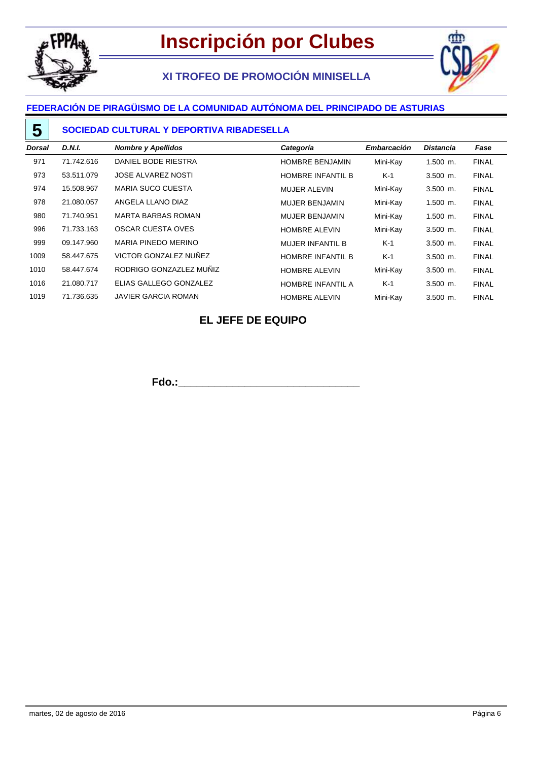

**5**

# **Inscripción por Clubes**

# **XI TROFEO DE PROMOCIÓN MINISELLA**



## **FEDERACIÓN DE PIRAGÜISMO DE LA COMUNIDAD AUTÓNOMA DEL PRINCIPADO DE ASTURIAS**

#### **SOCIEDAD CULTURAL Y DEPORTIVA RIBADESELLA**

| Dorsal | <b>D.N.I.</b> | <b>Nombre y Apellidos</b>  | Categoría                | <b>Embarcación</b> | <b>Distancia</b> | Fase         |
|--------|---------------|----------------------------|--------------------------|--------------------|------------------|--------------|
| 971    | 71.742.616    | DANIEL BODE RIESTRA        | <b>HOMBRE BENJAMIN</b>   | Mini-Kay           | $1.500$ m.       | <b>FINAL</b> |
| 973    | 53.511.079    | <b>JOSE ALVAREZ NOSTI</b>  | <b>HOMBRE INFANTIL B</b> | $K-1$              | $3.500$ m.       | <b>FINAL</b> |
| 974    | 15.508.967    | <b>MARIA SUCO CUESTA</b>   | <b>MUJER ALEVIN</b>      | Mini-Kay           | $3.500$ m.       | <b>FINAL</b> |
| 978    | 21.080.057    | ANGELA LLANO DIAZ          | <b>MUJER BENJAMIN</b>    | Mini-Kay           | $1.500$ m.       | <b>FINAL</b> |
| 980    | 71.740.951    | <b>MARTA BARBAS ROMAN</b>  | <b>MUJER BENJAMIN</b>    | Mini-Kay           | $1.500$ m.       | <b>FINAL</b> |
| 996    | 71.733.163    | OSCAR CUESTA OVES          | <b>HOMBRE ALEVIN</b>     | Mini-Kay           | $3.500$ m.       | <b>FINAL</b> |
| 999    | 09.147.960    | MARIA PINEDO MERINO        | <b>MUJER INFANTIL B</b>  | $K-1$              | $3.500$ m.       | <b>FINAL</b> |
| 1009   | 58.447.675    | VICTOR GONZALEZ NUÑEZ      | <b>HOMBRE INFANTIL B</b> | $K-1$              | $3.500$ m.       | <b>FINAL</b> |
| 1010   | 58.447.674    | RODRIGO GONZAZLEZ MUÑIZ    | <b>HOMBRE ALEVIN</b>     | Mini-Kay           | $3.500$ m.       | <b>FINAL</b> |
| 1016   | 21.080.717    | ELIAS GALLEGO GONZALEZ     | <b>HOMBRE INFANTIL A</b> | $K-1$              | $3.500$ m.       | <b>FINAL</b> |
| 1019   | 71.736.635    | <b>JAVIER GARCIA ROMAN</b> | <b>HOMBRE ALEVIN</b>     | Mini-Kay           | $3.500$ m.       | <b>FINAL</b> |

### **EL JEFE DE EQUIPO**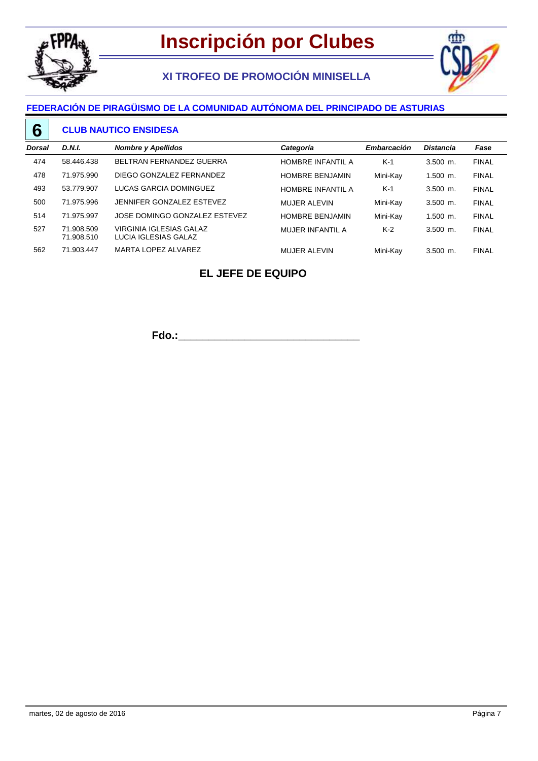

## **XI TROFEO DE PROMOCIÓN MINISELLA**



#### **FEDERACIÓN DE PIRAGÜISMO DE LA COMUNIDAD AUTÓNOMA DEL PRINCIPADO DE ASTURIAS**

#### **CLUB NAUTICO ENSIDESA 6**

| Dorsal | <b>D.N.I.</b>            | <b>Nombre y Apellidos</b>                       | Categoría                | <b>Embarcación</b> | <b>Distancia</b> | Fase         |
|--------|--------------------------|-------------------------------------------------|--------------------------|--------------------|------------------|--------------|
| 474    | 58.446.438               | BELTRAN FERNANDEZ GUERRA                        | <b>HOMBRE INFANTIL A</b> | $K-1$              | $3.500$ m.       | <b>FINAL</b> |
| 478    | 71.975.990               | DIEGO GONZALEZ FERNANDEZ                        | <b>HOMBRE BENJAMIN</b>   | Mini-Kay           | $1.500$ m.       | <b>FINAL</b> |
| 493    | 53.779.907               | LUCAS GARCIA DOMINGUEZ                          | HOMBRE INFANTIL A        | $K-1$              | $3.500$ m.       | <b>FINAL</b> |
| 500    | 71.975.996               | JENNIFER GONZALEZ ESTEVEZ                       | <b>MUJER ALEVIN</b>      | Mini-Kay           | $3.500$ m.       | <b>FINAL</b> |
| 514    | 71.975.997               | JOSE DOMINGO GONZALEZ ESTEVEZ                   | <b>HOMBRE BENJAMIN</b>   | Mini-Kay           | $1.500$ m.       | <b>FINAL</b> |
| 527    | 71.908.509<br>71.908.510 | VIRGINIA IGLESIAS GALAZ<br>LUCIA IGLESIAS GALAZ | MUJER INFANTIL A         | $K-2$              | $3.500$ m.       | <b>FINAL</b> |
| 562    | 71.903.447               | MARTA LOPEZ ALVAREZ                             | <b>MUJER ALEVIN</b>      | Mini-Kav           | $3.500$ m.       | <b>FINAL</b> |

## **EL JEFE DE EQUIPO**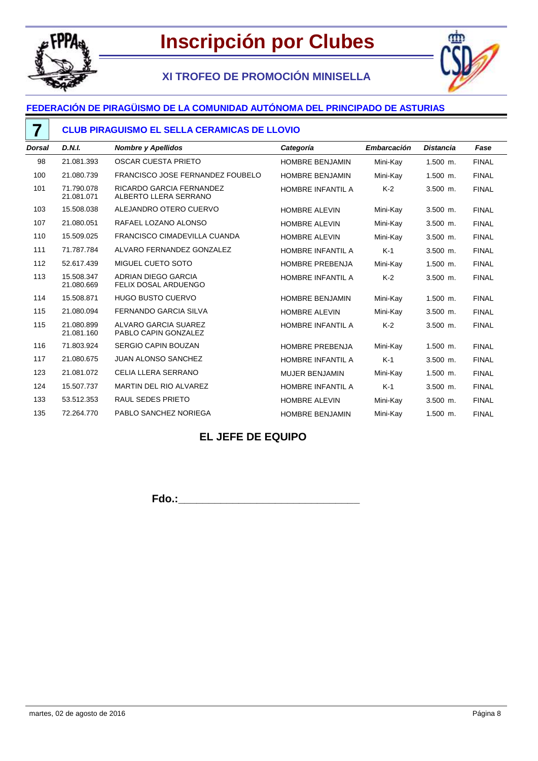

**7**

# **XI TROFEO DE PROMOCIÓN MINISELLA**



## **FEDERACIÓN DE PIRAGÜISMO DE LA COMUNIDAD AUTÓNOMA DEL PRINCIPADO DE ASTURIAS**

#### **CLUB PIRAGUISMO EL SELLA CERAMICAS DE LLOVIO**

| <b>Dorsal</b> | D.N.I.                   | <b>Nombre y Apellidos</b>                         | Categoría                | Embarcación | <b>Distancia</b> | Fase         |
|---------------|--------------------------|---------------------------------------------------|--------------------------|-------------|------------------|--------------|
| 98            | 21.081.393               | <b>OSCAR CUESTA PRIETO</b>                        | <b>HOMBRE BENJAMIN</b>   | Mini-Kay    | $1.500$ m.       | <b>FINAL</b> |
| 100           | 21.080.739               | FRANCISCO JOSE FERNANDEZ FOUBELO                  | <b>HOMBRE BENJAMIN</b>   | Mini-Kay    | 1.500 m.         | <b>FINAL</b> |
| 101           | 71.790.078<br>21.081.071 | RICARDO GARCIA FERNANDEZ<br>ALBERTO LLERA SERRANO | HOMBRE INFANTIL A        | $K-2$       | $3.500$ m.       | <b>FINAL</b> |
| 103           | 15.508.038               | ALEJANDRO OTERO CUERVO                            | <b>HOMBRE ALEVIN</b>     | Mini-Kay    | 3.500 m.         | <b>FINAL</b> |
| 107           | 21.080.051               | RAFAEL LOZANO ALONSO                              | <b>HOMBRE ALEVIN</b>     | Mini-Kay    | $3.500$ m.       | <b>FINAL</b> |
| 110           | 15.509.025               | <b>FRANCISCO CIMADEVILLA CUANDA</b>               | <b>HOMBRE ALEVIN</b>     | Mini-Kay    | $3.500$ m.       | <b>FINAL</b> |
| 111           | 71.787.784               | ALVARO FERNANDEZ GONZALEZ                         | HOMBRE INFANTIL A        | $K-1$       | 3.500 m.         | <b>FINAL</b> |
| 112           | 52.617.439               | MIGUEL CUETO SOTO                                 | <b>HOMBRE PREBENJA</b>   | Mini-Kay    | 1.500 m.         | <b>FINAL</b> |
| 113           | 15.508.347<br>21.080.669 | ADRIAN DIEGO GARCIA<br>FELIX DOSAL ARDUENGO       | HOMBRE INFANTIL A        | $K-2$       | $3.500$ m.       | <b>FINAL</b> |
| 114           | 15.508.871               | <b>HUGO BUSTO CUERVO</b>                          | <b>HOMBRE BENJAMIN</b>   | Mini-Kay    | 1.500 m.         | <b>FINAL</b> |
| 115           | 21.080.094               | <b>FERNANDO GARCIA SILVA</b>                      | <b>HOMBRE ALEVIN</b>     | Mini-Kay    | 3.500 m.         | <b>FINAL</b> |
| 115           | 21.080.899<br>21.081.160 | ALVARO GARCIA SUAREZ<br>PABLO CAPIN GONZALEZ      | HOMBRE INFANTIL A        | $K-2$       | 3.500 m.         | <b>FINAL</b> |
| 116           | 71.803.924               | SERGIO CAPIN BOUZAN                               | <b>HOMBRE PREBENJA</b>   | Mini-Kay    | $1.500$ m.       | <b>FINAL</b> |
| 117           | 21.080.675               | <b>JUAN ALONSO SANCHEZ</b>                        | <b>HOMBRE INFANTIL A</b> | $K-1$       | 3.500 m.         | <b>FINAL</b> |
| 123           | 21.081.072               | CELIA LLERA SERRANO                               | <b>MUJER BENJAMIN</b>    | Mini-Kay    | $1.500$ m.       | <b>FINAL</b> |
| 124           | 15.507.737               | MARTIN DEL RIO ALVAREZ                            | HOMBRE INFANTIL A        | $K-1$       | $3.500$ m.       | <b>FINAL</b> |
| 133           | 53.512.353               | <b>RAUL SEDES PRIETO</b>                          | <b>HOMBRE ALEVIN</b>     | Mini-Kay    | 3.500 m.         | <b>FINAL</b> |
| 135           | 72.264.770               | PABLO SANCHEZ NORIEGA                             | HOMBRE BENJAMIN          | Mini-Kay    | 1.500 m.         | <b>FINAL</b> |

### **EL JEFE DE EQUIPO**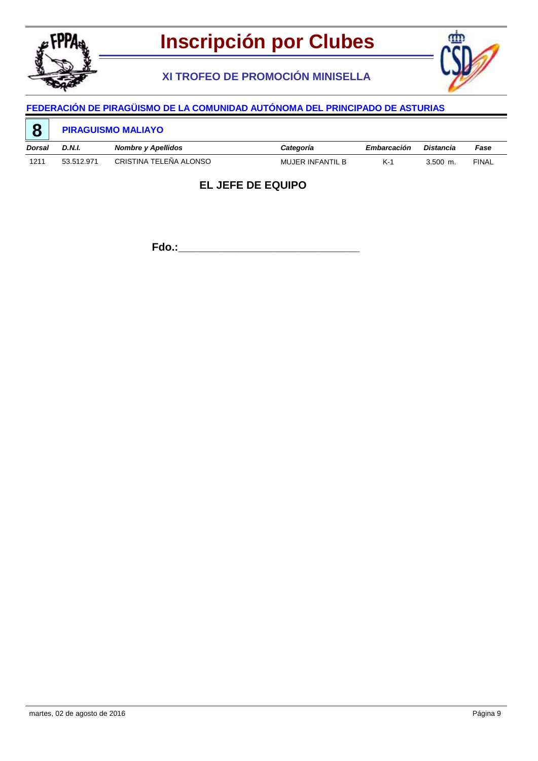

**XI TROFEO DE PROMOCIÓN MINISELLA**



# **FEDERACIÓN DE PIRAGÜISMO DE LA COMUNIDAD AUTÓNOMA DEL PRINCIPADO DE ASTURIAS**

| <b>C</b> |               | <b>PIRAGUISMO MALIAYO</b> |                         |             |            |              |
|----------|---------------|---------------------------|-------------------------|-------------|------------|--------------|
| Dorsal   | <b>D.N.I.</b> | <b>Nombre y Apellidos</b> | Categoría               | Embarcación | Distancia  | Fase         |
| 1211     | 53.512.971    | CRISTINA TELEÑA ALONSO    | <b>MUJER INFANTIL B</b> | K-1         | $3.500$ m. | <b>FINAL</b> |

### **EL JEFE DE EQUIPO**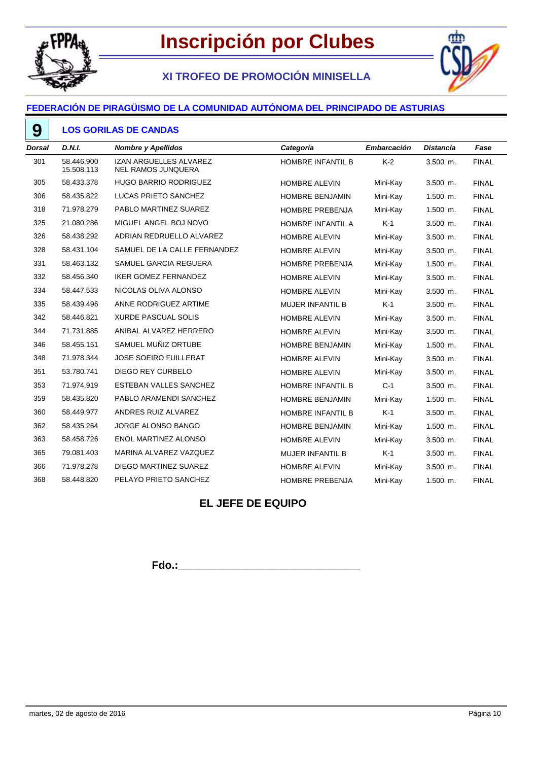

# **XI TROFEO DE PROMOCIÓN MINISELLA**



#### **FEDERACIÓN DE PIRAGÜISMO DE LA COMUNIDAD AUTÓNOMA DEL PRINCIPADO DE ASTURIAS**

#### **LOS GORILAS DE CANDAS**

| D.N.I.                   | <b>Nombre y Apellidos</b>                                  | Categoría                | Embarcación | <b>Distancia</b> | Fase         |
|--------------------------|------------------------------------------------------------|--------------------------|-------------|------------------|--------------|
| 58.446.900<br>15.508.113 | <b>IZAN ARGUELLES ALVAREZ</b><br><b>NEL RAMOS JUNQUERA</b> | HOMBRE INFANTIL B        | $K-2$       | $3.500$ m.       | <b>FINAL</b> |
| 58.433.378               | <b>HUGO BARRIO RODRIGUEZ</b>                               | <b>HOMBRE ALEVIN</b>     | Mini-Kay    | 3.500 m.         | <b>FINAL</b> |
| 58.435.822               | LUCAS PRIETO SANCHEZ                                       | <b>HOMBRE BENJAMIN</b>   | Mini-Kay    | $1.500$ m.       | <b>FINAL</b> |
| 71.978.279               | PABLO MARTINEZ SUAREZ                                      | <b>HOMBRE PREBENJA</b>   | Mini-Kay    | $1.500$ m.       | <b>FINAL</b> |
| 21.080.286               | MIGUEL ANGEL BOJ NOVO                                      | HOMBRE INFANTIL A        | $K-1$       | 3.500 m.         | <b>FINAL</b> |
| 58.438.292               | ADRIAN REDRUELLO ALVAREZ                                   | HOMBRE ALEVIN            | Mini-Kay    | 3.500 m.         | <b>FINAL</b> |
| 58.431.104               | SAMUEL DE LA CALLE FERNANDEZ                               | <b>HOMBRE ALEVIN</b>     | Mini-Kay    | 3.500 m.         | <b>FINAL</b> |
| 58.463.132               | SAMUEL GARCIA REGUERA                                      | <b>HOMBRE PREBENJA</b>   | Mini-Kay    | $1.500$ m.       | <b>FINAL</b> |
| 58.456.340               | <b>IKER GOMEZ FERNANDEZ</b>                                | HOMBRE ALEVIN            | Mini-Kay    | $3.500$ m.       | <b>FINAL</b> |
| 58.447.533               | NICOLAS OLIVA ALONSO                                       | HOMBRE ALEVIN            | Mini-Kay    | $3.500$ m.       | <b>FINAL</b> |
| 58.439.496               | ANNE RODRIGUEZ ARTIME                                      | <b>MUJER INFANTIL B</b>  | $K-1$       | $3.500$ m.       | <b>FINAL</b> |
| 58.446.821               | <b>XURDE PASCUAL SOLIS</b>                                 | <b>HOMBRE ALEVIN</b>     | Mini-Kay    | 3.500 m.         | <b>FINAL</b> |
| 71.731.885               | ANIBAL ALVAREZ HERRERO                                     | <b>HOMBRE ALEVIN</b>     | Mini-Kay    | $3.500$ m.       | <b>FINAL</b> |
| 58.455.151               | SAMUEL MUÑIZ ORTUBE                                        | HOMBRE BENJAMIN          | Mini-Kay    | 1.500 m.         | <b>FINAL</b> |
| 71.978.344               | <b>JOSE SOEIRO FUILLERAT</b>                               | <b>HOMBRE ALEVIN</b>     | Mini-Kay    | 3.500 m.         | <b>FINAL</b> |
| 53.780.741               | <b>DIEGO REY CURBELO</b>                                   | <b>HOMBRE ALEVIN</b>     | Mini-Kay    | 3.500 m.         | <b>FINAL</b> |
| 71.974.919               | ESTEBAN VALLES SANCHEZ                                     | <b>HOMBRE INFANTIL B</b> | $C-1$       | 3.500 m.         | <b>FINAL</b> |
| 58.435.820               | PABLO ARAMENDI SANCHEZ                                     | HOMBRE BENJAMIN          | Mini-Kay    | $1.500$ m.       | <b>FINAL</b> |
| 58.449.977               | ANDRES RUIZ ALVAREZ                                        | HOMBRE INFANTIL B        | $K-1$       | 3.500 m.         | <b>FINAL</b> |
| 58.435.264               | JORGE ALONSO BANGO                                         | <b>HOMBRE BENJAMIN</b>   | Mini-Kay    | $1.500$ m.       | <b>FINAL</b> |
| 58.458.726               | <b>ENOL MARTINEZ ALONSO</b>                                | <b>HOMBRE ALEVIN</b>     | Mini-Kay    | 3.500 m.         | <b>FINAL</b> |
| 79.081.403               | MARINA ALVAREZ VAZQUEZ                                     | <b>MUJER INFANTIL B</b>  | $K-1$       | 3.500 m.         | <b>FINAL</b> |
| 71.978.278               | DIEGO MARTINEZ SUAREZ                                      | <b>HOMBRE ALEVIN</b>     | Mini-Kay    | 3.500 m.         | <b>FINAL</b> |
| 58.448.820               | PELAYO PRIETO SANCHEZ                                      | HOMBRE PREBENJA          | Mini-Kay    | 1.500 m.         | <b>FINAL</b> |
|                          |                                                            |                          |             |                  |              |

### **EL JEFE DE EQUIPO**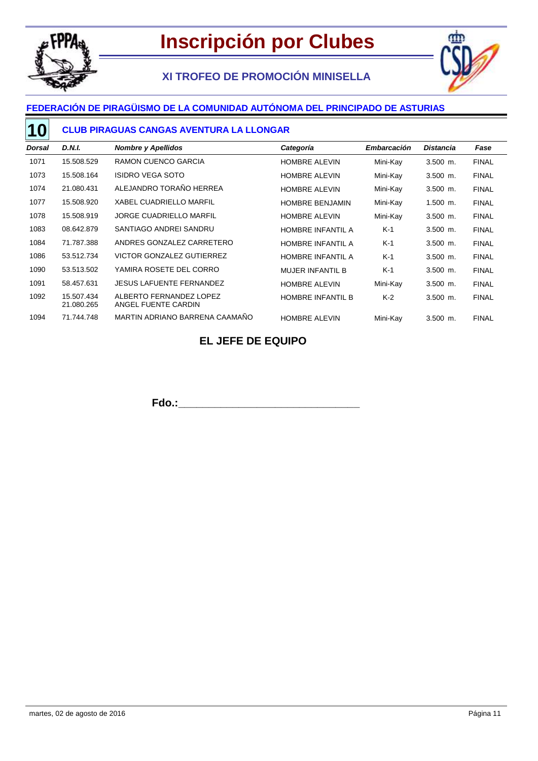

# **XI TROFEO DE PROMOCIÓN MINISELLA**



## **FEDERACIÓN DE PIRAGÜISMO DE LA COMUNIDAD AUTÓNOMA DEL PRINCIPADO DE ASTURIAS**

#### **CLUB PIRAGUAS CANGAS AVENTURA LA LLONGAR 10**

| Dorsal | D.N.I.                   | <b>Nombre y Apellidos</b>                      | Categoría                | <b>Embarcación</b> | <b>Distancia</b> | Fase         |
|--------|--------------------------|------------------------------------------------|--------------------------|--------------------|------------------|--------------|
| 1071   | 15.508.529               | RAMON CUENCO GARCIA                            | <b>HOMBRE ALEVIN</b>     | Mini-Kay           | $3.500$ m.       | <b>FINAL</b> |
| 1073   | 15.508.164               | <b>ISIDRO VEGA SOTO</b>                        | <b>HOMBRE ALEVIN</b>     | Mini-Kay           | $3.500$ m.       | <b>FINAL</b> |
| 1074   | 21.080.431               | ALEJANDRO TORAÑO HERREA                        | <b>HOMBRE ALEVIN</b>     | Mini-Kay           | $3.500$ m.       | <b>FINAL</b> |
| 1077   | 15.508.920               | <b>XABEL CUADRIELLO MARFIL</b>                 | <b>HOMBRE BENJAMIN</b>   | Mini-Kay           | $1.500$ m.       | <b>FINAL</b> |
| 1078   | 15.508.919               | <b>JORGE CUADRIELLO MARFIL</b>                 | <b>HOMBRE ALEVIN</b>     | Mini-Kay           | $3.500$ m.       | <b>FINAL</b> |
| 1083   | 08.642.879               | SANTIAGO ANDREI SANDRU                         | <b>HOMBRE INFANTIL A</b> | $K-1$              | $3.500$ m.       | <b>FINAL</b> |
| 1084   | 71.787.388               | ANDRES GONZALEZ CARRETERO                      | <b>HOMBRE INFANTIL A</b> | $K-1$              | $3.500$ m.       | <b>FINAL</b> |
| 1086   | 53.512.734               | <b>VICTOR GONZALEZ GUTIERREZ</b>               | <b>HOMBRE INFANTIL A</b> | $K-1$              | $3.500$ m.       | <b>FINAL</b> |
| 1090   | 53.513.502               | YAMIRA ROSETE DEL CORRO                        | <b>MUJER INFANTIL B</b>  | $K-1$              | $3.500$ m.       | <b>FINAL</b> |
| 1091   | 58.457.631               | <b>JESUS LAFUENTE FERNANDEZ</b>                | <b>HOMBRE ALEVIN</b>     | Mini-Kay           | $3.500$ m.       | <b>FINAL</b> |
| 1092   | 15.507.434<br>21.080.265 | ALBERTO FERNANDEZ LOPEZ<br>ANGEL FUENTE CARDIN | HOMBRE INFANTIL B        | $K-2$              | $3.500$ m.       | <b>FINAL</b> |
| 1094   | 71.744.748               | MARTIN ADRIANO BARRENA CAAMAÑO                 | <b>HOMBRE ALEVIN</b>     | Mini-Kay           | $3.500$ m.       | <b>FINAL</b> |

#### **EL JEFE DE EQUIPO**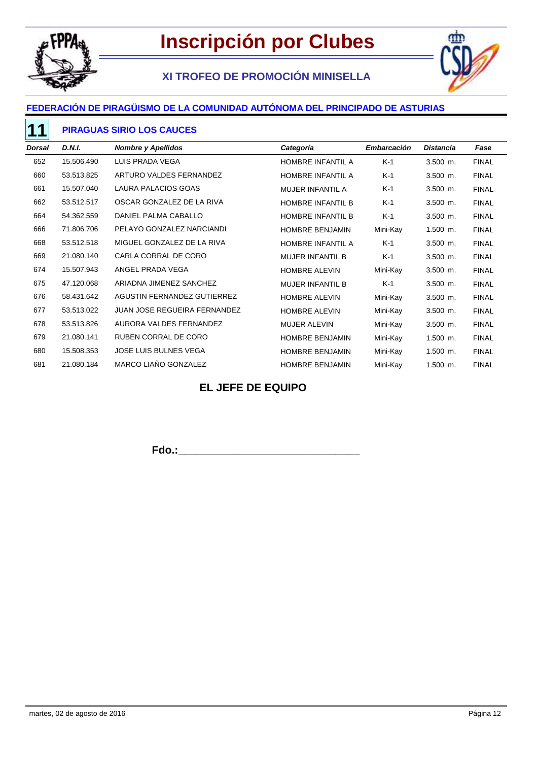

# **XI TROFEO DE PROMOCIÓN MINISELLA**



## **FEDERACIÓN DE PIRAGÜISMO DE LA COMUNIDAD AUTÓNOMA DEL PRINCIPADO DE ASTURIAS**

#### **PIRAGUAS SIRIO LOS CAUCES**

| Dorsal | <b>D.N.I.</b> | <b>Nombre y Apellidos</b>           | Categoría                | <b>Embarcación</b> | <b>Distancia</b> | Fase         |
|--------|---------------|-------------------------------------|--------------------------|--------------------|------------------|--------------|
| 652    | 15.506.490    | LUIS PRADA VEGA                     | HOMBRE INFANTIL A        | $K-1$              | $3.500$ m.       | <b>FINAL</b> |
| 660    | 53.513.825    | ARTURO VALDES FERNANDEZ             | HOMBRE INFANTIL A        | K-1                | $3.500$ m.       | <b>FINAL</b> |
| 661    | 15.507.040    | LAURA PALACIOS GOAS                 | <b>MUJER INFANTIL A</b>  | K-1                | $3.500$ m.       | <b>FINAL</b> |
| 662    | 53.512.517    | OSCAR GONZALEZ DE LA RIVA           | <b>HOMBRE INFANTIL B</b> | K-1                | $3.500$ m.       | <b>FINAL</b> |
| 664    | 54.362.559    | DANIEL PALMA CABALLO                | <b>HOMBRE INFANTIL B</b> | K-1                | $3.500$ m.       | <b>FINAL</b> |
| 666    | 71.806.706    | PELAYO GONZALEZ NARCIANDI           | <b>HOMBRE BENJAMIN</b>   | Mini-Kay           | $1.500$ m.       | <b>FINAL</b> |
| 668    | 53.512.518    | MIGUEL GONZALEZ DE LA RIVA          | HOMBRE INFANTIL A        | $K-1$              | $3.500$ m.       | <b>FINAL</b> |
| 669    | 21.080.140    | CARLA CORRAL DE CORO                | <b>MUJER INFANTIL B</b>  | K-1                | 3.500 m.         | <b>FINAL</b> |
| 674    | 15.507.943    | ANGEL PRADA VEGA                    | <b>HOMBRE ALEVIN</b>     | Mini-Kay           | $3.500$ m.       | <b>FINAL</b> |
| 675    | 47.120.068    | ARIADNA JIMENEZ SANCHEZ             | <b>MUJER INFANTIL B</b>  | $K-1$              | $3.500$ m.       | <b>FINAL</b> |
| 676    | 58.431.642    | <b>AGUSTIN FERNANDEZ GUTIERREZ</b>  | <b>HOMBRE ALEVIN</b>     | Mini-Kay           | 3.500 m.         | <b>FINAL</b> |
| 677    | 53.513.022    | <b>JUAN JOSE REGUEIRA FERNANDEZ</b> | <b>HOMBRE ALEVIN</b>     | Mini-Kay           | $3.500$ m.       | <b>FINAL</b> |
| 678    | 53.513.826    | AURORA VALDES FERNANDEZ             | <b>MUJER ALEVIN</b>      | Mini-Kay           | $3.500$ m.       | <b>FINAL</b> |
| 679    | 21.080.141    | RUBEN CORRAL DE CORO                | <b>HOMBRE BENJAMIN</b>   | Mini-Kay           | $1.500$ m.       | <b>FINAL</b> |
| 680    | 15.508.353    | <b>JOSE LUIS BULNES VEGA</b>        | HOMBRE BENJAMIN          | Mini-Kay           | $1.500$ m.       | <b>FINAL</b> |
| 681    | 21.080.184    | MARCO LIAÑO GONZALEZ                | <b>HOMBRE BENJAMIN</b>   | Mini-Kay           | $1.500$ m.       | <b>FINAL</b> |

## **EL JEFE DE EQUIPO**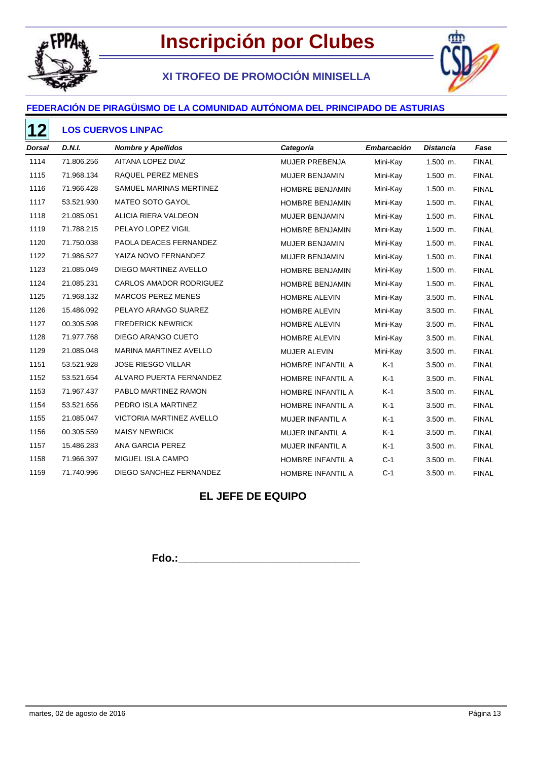

# **XI TROFEO DE PROMOCIÓN MINISELLA**



### **FEDERACIÓN DE PIRAGÜISMO DE LA COMUNIDAD AUTÓNOMA DEL PRINCIPADO DE ASTURIAS**

#### **LOS CUERVOS LINPAC**

| <b>Dorsal</b> | <b>D.N.I.</b> | <b>Nombre y Apellidos</b>     | Categoría               | Embarcación | <b>Distancia</b> | Fase         |
|---------------|---------------|-------------------------------|-------------------------|-------------|------------------|--------------|
| 1114          | 71.806.256    | AITANA LOPEZ DIAZ             | MUJER PREBENJA          | Mini-Kay    | $1.500$ m.       | <b>FINAL</b> |
| 1115          | 71.968.134    | RAQUEL PEREZ MENES            | MUJER BENJAMIN          | Mini-Kay    | 1.500 m.         | <b>FINAL</b> |
| 1116          | 71.966.428    | SAMUEL MARINAS MERTINEZ       | HOMBRE BENJAMIN         | Mini-Kay    | 1.500 m.         | <b>FINAL</b> |
| 1117          | 53.521.930    | MATEO SOTO GAYOL              | HOMBRE BENJAMIN         | Mini-Kay    | $1.500$ m.       | <b>FINAL</b> |
| 1118          | 21.085.051    | ALICIA RIERA VALDEON          | MUJER BENJAMIN          | Mini-Kay    | $1.500$ m.       | <b>FINAL</b> |
| 1119          | 71.788.215    | PELAYO LOPEZ VIGIL            | HOMBRE BENJAMIN         | Mini-Kay    | $1.500$ m.       | <b>FINAL</b> |
| 1120          | 71.750.038    | PAOLA DEACES FERNANDEZ        | MUJER BENJAMIN          | Mini-Kay    | $1.500$ m.       | <b>FINAL</b> |
| 1122          | 71.986.527    | YAIZA NOVO FERNANDEZ          | MUJER BENJAMIN          | Mini-Kay    | $1.500$ m.       | <b>FINAL</b> |
| 1123          | 21.085.049    | DIEGO MARTINEZ AVELLO         | HOMBRE BENJAMIN         | Mini-Kay    | $1.500$ m.       | <b>FINAL</b> |
| 1124          | 21.085.231    | CARLOS AMADOR RODRIGUEZ       | <b>HOMBRE BENJAMIN</b>  | Mini-Kay    | $1.500$ m.       | <b>FINAL</b> |
| 1125          | 71.968.132    | <b>MARCOS PEREZ MENES</b>     | <b>HOMBRE ALEVIN</b>    | Mini-Kay    | $3.500$ m.       | <b>FINAL</b> |
| 1126          | 15.486.092    | PELAYO ARANGO SUAREZ          | HOMBRE ALEVIN           | Mini-Kay    | 3.500 m.         | <b>FINAL</b> |
| 1127          | 00.305.598    | <b>FREDERICK NEWRICK</b>      | HOMBRE ALEVIN           | Mini-Kay    | $3.500$ m.       | <b>FINAL</b> |
| 1128          | 71.977.768    | DIEGO ARANGO CUETO            | <b>HOMBRE ALEVIN</b>    | Mini-Kay    | $3.500$ m.       | <b>FINAL</b> |
| 1129          | 21.085.048    | <b>MARINA MARTINEZ AVELLO</b> | MUJER ALEVIN            | Mini-Kay    | $3.500$ m.       | <b>FINAL</b> |
| 1151          | 53.521.928    | <b>JOSE RIESGO VILLAR</b>     | HOMBRE INFANTIL A       | $K-1$       | $3.500$ m.       | <b>FINAL</b> |
| 1152          | 53.521.654    | ALVARO PUERTA FERNANDEZ       | HOMBRE INFANTIL A       | $K-1$       | $3.500$ m.       | <b>FINAL</b> |
| 1153          | 71.967.437    | PABLO MARTINEZ RAMON          | HOMBRE INFANTIL A       | $K-1$       | 3.500 m.         | <b>FINAL</b> |
| 1154          | 53.521.656    | PEDRO ISLA MARTINEZ           | HOMBRE INFANTIL A       | $K-1$       | $3.500$ m.       | <b>FINAL</b> |
| 1155          | 21.085.047    | VICTORIA MARTINEZ AVELLO      | <b>MUJER INFANTIL A</b> | K-1         | $3.500$ m.       | <b>FINAL</b> |
| 1156          | 00.305.559    | <b>MAISY NEWRICK</b>          | MUJER INFANTIL A        | $K-1$       | 3.500 m.         | <b>FINAL</b> |
| 1157          | 15.486.283    | ANA GARCIA PEREZ              | MUJER INFANTIL A        | $K-1$       | 3.500 m.         | <b>FINAL</b> |
| 1158          | 71.966.397    | MIGUEL ISLA CAMPO             | HOMBRE INFANTIL A       | $C-1$       | 3.500 m.         | <b>FINAL</b> |
| 1159          | 71.740.996    | DIEGO SANCHEZ FERNANDEZ       | HOMBRE INFANTIL A       | $C-1$       | 3.500 m.         | <b>FINAL</b> |

### **EL JEFE DE EQUIPO**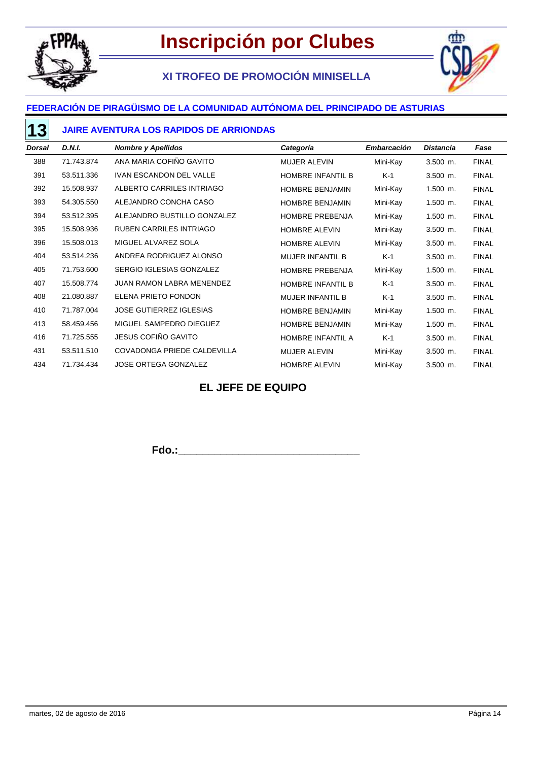

# **XI TROFEO DE PROMOCIÓN MINISELLA**



### **FEDERACIÓN DE PIRAGÜISMO DE LA COMUNIDAD AUTÓNOMA DEL PRINCIPADO DE ASTURIAS**

#### **JAIRE AVENTURA LOS RAPIDOS DE ARRIONDAS**

| <b>Dorsal</b> | D.N.I.     | <b>Nombre y Apellidos</b>      | Categoría                | Embarcación | <b>Distancia</b> | Fase         |
|---------------|------------|--------------------------------|--------------------------|-------------|------------------|--------------|
| 388           | 71.743.874 | ANA MARIA COFIÑO GAVITO        | <b>MUJER ALEVIN</b>      | Mini-Kay    | $3.500$ m.       | <b>FINAL</b> |
| 391           | 53.511.336 | <b>IVAN ESCANDON DEL VALLE</b> | HOMBRE INFANTIL B        | K-1         | $3.500$ m.       | <b>FINAL</b> |
| 392           | 15.508.937 | ALBERTO CARRILES INTRIAGO      | <b>HOMBRE BENJAMIN</b>   | Mini-Kay    | $1.500$ m.       | <b>FINAL</b> |
| 393           | 54.305.550 | ALEJANDRO CONCHA CASO          | HOMBRE BENJAMIN          | Mini-Kay    | $1.500$ m.       | <b>FINAL</b> |
| 394           | 53.512.395 | ALEJANDRO BUSTILLO GONZALEZ    | <b>HOMBRE PREBENJA</b>   | Mini-Kay    | $1.500$ m.       | <b>FINAL</b> |
| 395           | 15.508.936 | <b>RUBEN CARRILES INTRIAGO</b> | <b>HOMBRE ALEVIN</b>     | Mini-Kay    | $3.500$ m.       | <b>FINAL</b> |
| 396           | 15.508.013 | MIGUEL ALVAREZ SOLA            | <b>HOMBRE ALEVIN</b>     | Mini-Kay    | $3.500$ m.       | <b>FINAL</b> |
| 404           | 53.514.236 | ANDREA RODRIGUEZ ALONSO        | <b>MUJER INFANTIL B</b>  | K-1         | $3.500$ m.       | <b>FINAL</b> |
| 405           | 71.753.600 | SERGIO IGLESIAS GONZALEZ       | <b>HOMBRE PREBENJA</b>   | Mini-Kay    | $1.500$ m.       | <b>FINAL</b> |
| 407           | 15.508.774 | JUAN RAMON LABRA MENENDEZ      | <b>HOMBRE INFANTIL B</b> | $K-1$       | $3.500$ m.       | <b>FINAL</b> |
| 408           | 21.080.887 | ELENA PRIETO FONDON            | <b>MUJER INFANTIL B</b>  | K-1         | $3.500$ m.       | <b>FINAL</b> |
| 410           | 71.787.004 | <b>JOSE GUTIERREZ IGLESIAS</b> | <b>HOMBRE BENJAMIN</b>   | Mini-Kay    | $1.500$ m.       | <b>FINAL</b> |
| 413           | 58.459.456 | MIGUEL SAMPEDRO DIEGUEZ        | <b>HOMBRE BENJAMIN</b>   | Mini-Kay    | $1.500$ m.       | <b>FINAL</b> |
| 416           | 71.725.555 | JESUS COFIÑO GAVITO            | HOMBRE INFANTIL A        | $K-1$       | $3.500$ m.       | <b>FINAL</b> |
| 431           | 53.511.510 | COVADONGA PRIEDE CALDEVILLA    | MUJER ALEVIN             | Mini-Kay    | $3.500$ m.       | <b>FINAL</b> |
| 434           | 71.734.434 | <b>JOSE ORTEGA GONZALEZ</b>    | <b>HOMBRE ALEVIN</b>     | Mini-Kay    | $3.500$ m.       | <b>FINAL</b> |

### **EL JEFE DE EQUIPO**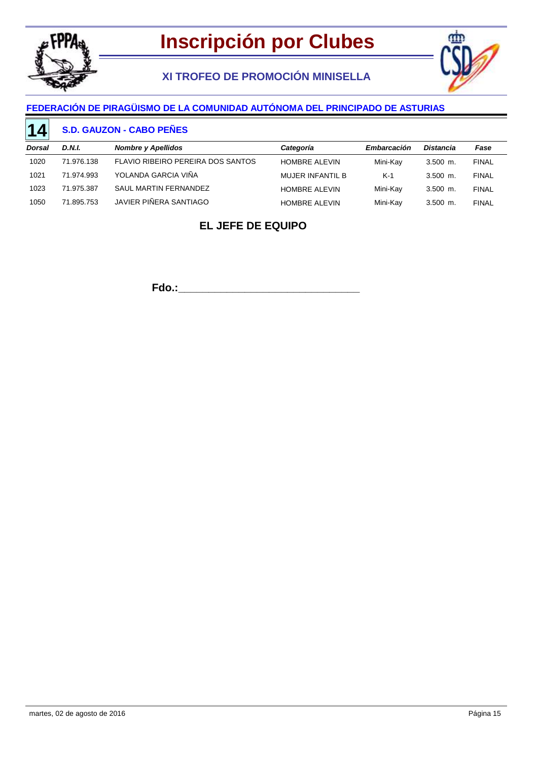

# **XI TROFEO DE PROMOCIÓN MINISELLA**



### **FEDERACIÓN DE PIRAGÜISMO DE LA COMUNIDAD AUTÓNOMA DEL PRINCIPADO DE ASTURIAS**

#### **S.D. GAUZON - CABO PEÑES 14**

| Dorsal | D.N.I.     | <b>Nombre y Apellidos</b>         | Categoría               | Embarcación | <b>Distancia</b> | Fase         |
|--------|------------|-----------------------------------|-------------------------|-------------|------------------|--------------|
| 1020   | 71.976.138 | FLAVIO RIBEIRO PEREIRA DOS SANTOS | <b>HOMBRE ALEVIN</b>    | Mini-Kay    | $3.500$ m.       | <b>FINAL</b> |
| 1021   | 71.974.993 | YOLANDA GARCIA VIÑA               | <b>MUJER INFANTIL B</b> | $K-1$       | $3.500$ m.       | <b>FINAL</b> |
| 1023   | 71.975.387 | SAUL MARTIN FERNANDEZ             | <b>HOMBRE ALEVIN</b>    | Mini-Kay    | $3.500$ m.       | <b>FINAL</b> |
| 1050   | 71.895.753 | JAVIER PIÑERA SANTIAGO            | <b>HOMBRE ALEVIN</b>    | Mini-Kav    | $3.500$ m.       | <b>FINAL</b> |
|        |            |                                   |                         |             |                  |              |

## **EL JEFE DE EQUIPO**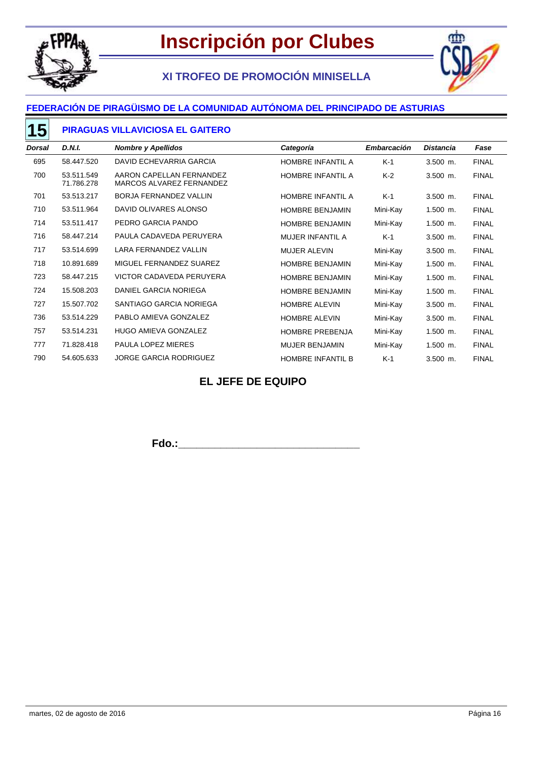

# **XI TROFEO DE PROMOCIÓN MINISELLA**



### **FEDERACIÓN DE PIRAGÜISMO DE LA COMUNIDAD AUTÓNOMA DEL PRINCIPADO DE ASTURIAS**

#### **PIRAGUAS VILLAVICIOSA EL GAITERO 15**

| <b>Dorsal</b> | D.N.I.                   | <b>Nombre y Apellidos</b>                            | Categoría                | <b>Embarcación</b> | <b>Distancia</b> | Fase         |
|---------------|--------------------------|------------------------------------------------------|--------------------------|--------------------|------------------|--------------|
| 695           | 58.447.520               | DAVID ECHEVARRIA GARCIA                              | HOMBRE INFANTIL A        | $K-1$              | $3.500$ m.       | <b>FINAL</b> |
| 700           | 53.511.549<br>71.786.278 | AARON CAPELLAN FERNANDEZ<br>MARCOS ALVAREZ FERNANDEZ | HOMBRE INFANTIL A        | $K-2$              | $3.500$ m.       | <b>FINAL</b> |
| 701           | 53.513.217               | <b>BORJA FERNANDEZ VALLIN</b>                        | HOMBRE INFANTIL A        | $K-1$              | $3.500$ m.       | <b>FINAL</b> |
| 710           | 53.511.964               | DAVID OLIVARES ALONSO                                | <b>HOMBRE BENJAMIN</b>   | Mini-Kay           | $1.500$ m.       | <b>FINAL</b> |
| 714           | 53.511.417               | PEDRO GARCIA PANDO                                   | <b>HOMBRE BENJAMIN</b>   | Mini-Kay           | $1.500$ m.       | <b>FINAL</b> |
| 716           | 58.447.214               | PAULA CADAVEDA PERUYERA                              | <b>MUJER INFANTIL A</b>  | $K-1$              | $3.500$ m.       | <b>FINAL</b> |
| 717           | 53.514.699               | <b>LARA FERNANDEZ VALLIN</b>                         | <b>MUJER ALEVIN</b>      | Mini-Kay           | $3.500$ m.       | <b>FINAL</b> |
| 718           | 10.891.689               | MIGUEL FERNANDEZ SUAREZ                              | <b>HOMBRE BENJAMIN</b>   | Mini-Kay           | $1.500$ m.       | <b>FINAL</b> |
| 723           | 58.447.215               | VICTOR CADAVEDA PERUYERA                             | <b>HOMBRE BENJAMIN</b>   | Mini-Kay           | $1.500$ m.       | <b>FINAL</b> |
| 724           | 15.508.203               | DANIEL GARCIA NORIEGA                                | <b>HOMBRE BENJAMIN</b>   | Mini-Kay           | $1.500$ m.       | <b>FINAL</b> |
| 727           | 15.507.702               | SANTIAGO GARCIA NORIEGA                              | <b>HOMBRE ALEVIN</b>     | Mini-Kay           | $3.500$ m.       | <b>FINAL</b> |
| 736           | 53.514.229               | PABLO AMIEVA GONZALEZ                                | <b>HOMBRE ALEVIN</b>     | Mini-Kay           | $3.500$ m.       | <b>FINAL</b> |
| 757           | 53.514.231               | <b>HUGO AMIEVA GONZALEZ</b>                          | <b>HOMBRE PREBENJA</b>   | Mini-Kay           | $1.500$ m.       | <b>FINAL</b> |
| 777           | 71.828.418               | <b>PAULA LOPEZ MIERES</b>                            | <b>MUJER BENJAMIN</b>    | Mini-Kay           | $1.500$ m.       | <b>FINAL</b> |
| 790           | 54.605.633               | <b>JORGE GARCIA RODRIGUEZ</b>                        | <b>HOMBRE INFANTIL B</b> | $K-1$              | $3.500$ m.       | <b>FINAL</b> |

## **EL JEFE DE EQUIPO**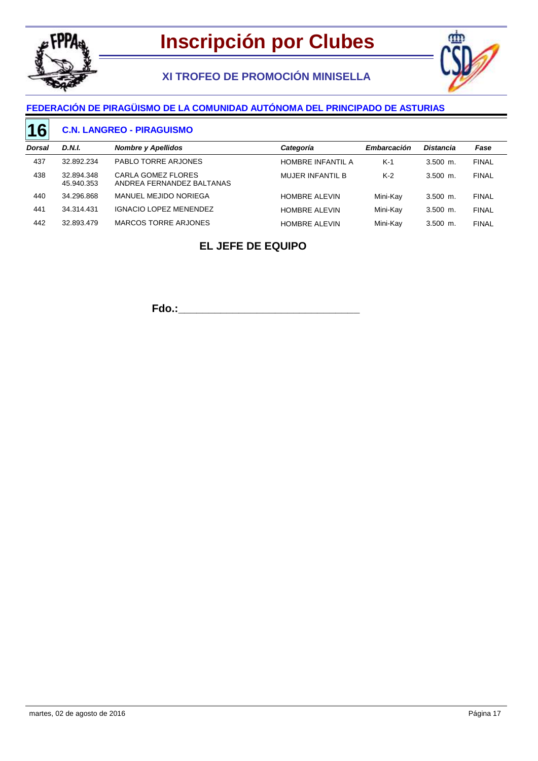

# **XI TROFEO DE PROMOCIÓN MINISELLA**



#### **FEDERACIÓN DE PIRAGÜISMO DE LA COMUNIDAD AUTÓNOMA DEL PRINCIPADO DE ASTURIAS**

#### **C.N. LANGREO - PIRAGUISMO 16**

| <b>Dorsal</b> | D.N.I.                   | <b>Nombre y Apellidos</b>                       | Categoría                | Embarcación | <b>Distancia</b> | Fase         |
|---------------|--------------------------|-------------------------------------------------|--------------------------|-------------|------------------|--------------|
| 437           | 32.892.234               | PABLO TORRE ARJONES                             | <b>HOMBRE INFANTIL A</b> | $K-1$       | $3.500$ m.       | <b>FINAL</b> |
| 438           | 32.894.348<br>45.940.353 | CARLA GOMEZ FLORES<br>ANDREA FERNANDEZ BALTANAS | MUJER INFANTIL B         | $K-2$       | $3.500$ m.       | <b>FINAL</b> |
| 440           | 34.296.868               | MANUEL MEJIDO NORIEGA                           | <b>HOMBRE ALEVIN</b>     | Mini-Kay    | $3.500$ m.       | <b>FINAL</b> |
| 441           | 34.314.431               | <b>IGNACIO LOPEZ MENENDEZ</b>                   | <b>HOMBRE ALEVIN</b>     | Mini-Kay    | $3.500$ m.       | <b>FINAL</b> |
| 442           | 32.893.479               | MARCOS TORRE ARJONES                            | <b>HOMBRE ALEVIN</b>     | Mini-Kay    | $3.500$ m.       | <b>FINAL</b> |
|               |                          |                                                 |                          |             |                  |              |

## **EL JEFE DE EQUIPO**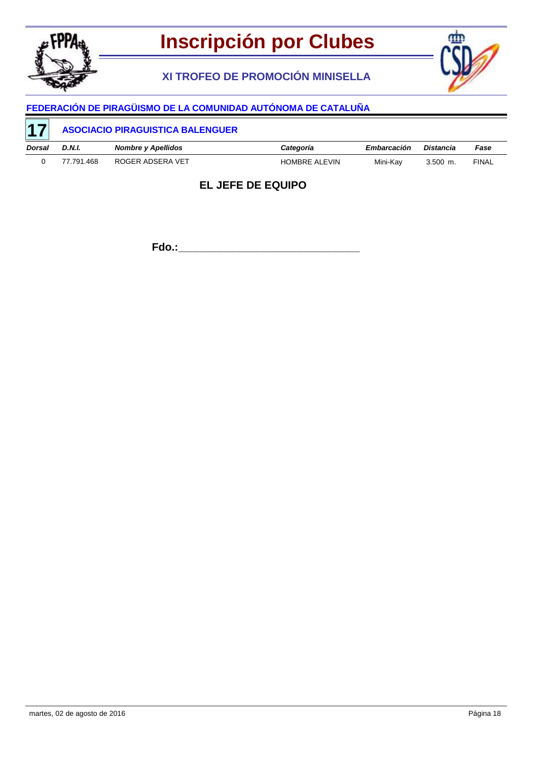

# **XI TROFEO DE PROMOCIÓN MINISELLA**



# **FEDERACIÓN DE PIRAGÜISMO DE LA COMUNIDAD AUTÓNOMA DE CATALUÑA**

| <b>17</b> | <b>ASOCIACIO PIRAGUISTICA BALENGUER</b> |                           |                      |                    |            |              |
|-----------|-----------------------------------------|---------------------------|----------------------|--------------------|------------|--------------|
| Dorsal    | D.N.I.                                  | <b>Nombre y Apellidos</b> | Categoría            | <b>Embarcación</b> | Distancia  | Fase         |
|           | 77.791.468                              | ROGER ADSERA VET          | <b>HOMBRE ALEVIN</b> | Mini-Kav           | $3.500$ m. | <b>FINAL</b> |

### **EL JEFE DE EQUIPO**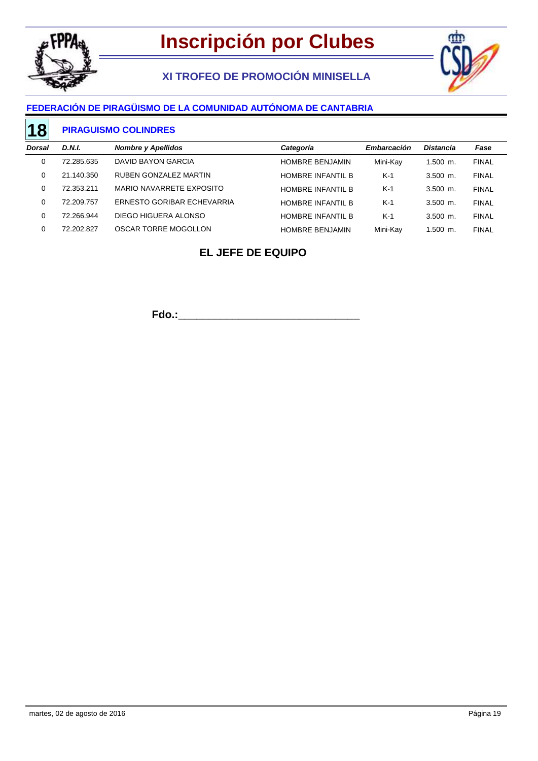

# **XI TROFEO DE PROMOCIÓN MINISELLA**



### **FEDERACIÓN DE PIRAGÜISMO DE LA COMUNIDAD AUTÓNOMA DE CANTABRIA**

#### **PIRAGUISMO COLINDRES 18**

| Dorsal | D.N.I.     | <b>Nombre y Apellidos</b>  | Categoría                | Embarcación | <b>Distancia</b> | Fase         |
|--------|------------|----------------------------|--------------------------|-------------|------------------|--------------|
|        | 72.285.635 | DAVID BAYON GARCIA         | <b>HOMBRE BENJAMIN</b>   | Mini-Kay    | 1.500 m.         | <b>FINAL</b> |
|        | 21.140.350 | RUBEN GONZALEZ MARTIN      | HOMBRE INFANTIL B        | $K-1$       | $3.500$ m.       | <b>FINAL</b> |
|        | 72.353.211 | MARIO NAVARRETE EXPOSITO   | HOMBRE INFANTIL B        | $K-1$       | $3.500$ m.       | <b>FINAL</b> |
|        | 72.209.757 | ERNESTO GORIBAR ECHEVARRIA | HOMBRE INFANTIL B        | $K-1$       | $3.500$ m.       | <b>FINAL</b> |
|        | 72.266.944 | DIEGO HIGUERA ALONSO       | <b>HOMBRE INFANTIL B</b> | $K-1$       | $3.500$ m.       | <b>FINAL</b> |
|        | 72.202.827 | OSCAR TORRE MOGOLLON       | <b>HOMBRE BENJAMIN</b>   | Mini-Kay    | $1.500$ m.       | <b>FINAL</b> |
|        |            |                            |                          |             |                  |              |

## **EL JEFE DE EQUIPO**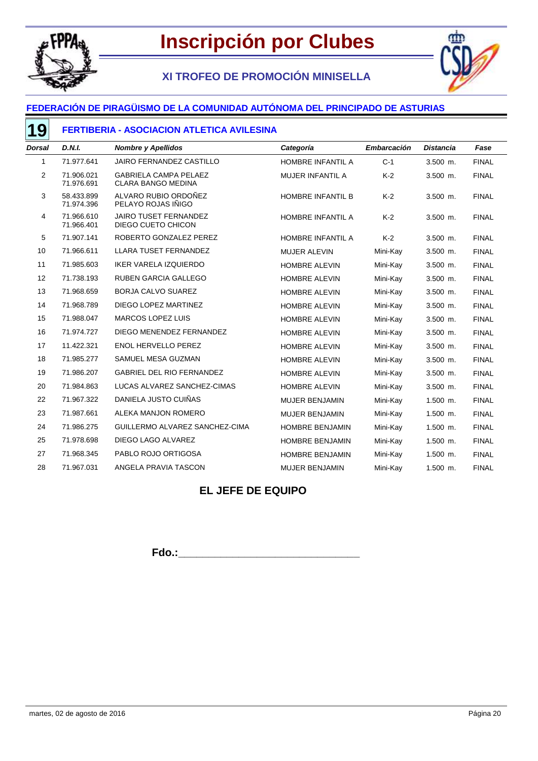

# **XI TROFEO DE PROMOCIÓN MINISELLA**



### **FEDERACIÓN DE PIRAGÜISMO DE LA COMUNIDAD AUTÓNOMA DEL PRINCIPADO DE ASTURIAS**

#### **FERTIBERIA - ASOCIACION ATLETICA AVILESINA**

| <b>Dorsal</b>  | <b>D.N.I.</b>            | <b>Nombre y Apellidos</b>                                 | Categoría                | <b>Embarcación</b> | <b>Distancia</b> | Fase         |
|----------------|--------------------------|-----------------------------------------------------------|--------------------------|--------------------|------------------|--------------|
| 1              | 71.977.641               | JAIRO FERNANDEZ CASTILLO                                  | HOMBRE INFANTIL A        | $C-1$              | $3.500$ m.       | <b>FINAL</b> |
| $\overline{2}$ | 71.906.021<br>71.976.691 | <b>GABRIELA CAMPA PELAEZ</b><br><b>CLARA BANGO MEDINA</b> | <b>MUJER INFANTIL A</b>  | $K-2$              | 3.500 m.         | <b>FINAL</b> |
| 3              | 58.433.899<br>71.974.396 | ALVARO RUBIO ORDOÑEZ<br>PELAYO ROJAS IÑIGO                | <b>HOMBRE INFANTIL B</b> | $K-2$              | $3.500$ m.       | <b>FINAL</b> |
| 4              | 71.966.610<br>71.966.401 | <b>JAIRO TUSET FERNANDEZ</b><br>DIEGO CUETO CHICON        | HOMBRE INFANTIL A        | $K-2$              | $3.500$ m.       | <b>FINAL</b> |
| 5              | 71.907.141               | ROBERTO GONZALEZ PEREZ                                    | HOMBRE INFANTIL A        | $K-2$              | 3.500 m.         | <b>FINAL</b> |
| 10             | 71.966.611               | <b>LLARA TUSET FERNANDEZ</b>                              | <b>MUJER ALEVIN</b>      | Mini-Kay           | $3.500$ m.       | <b>FINAL</b> |
| 11             | 71.985.603               | IKER VARELA IZQUIERDO                                     | <b>HOMBRE ALEVIN</b>     | Mini-Kay           | 3.500 m.         | <b>FINAL</b> |
| 12             | 71.738.193               | <b>RUBEN GARCIA GALLEGO</b>                               | <b>HOMBRE ALEVIN</b>     | Mini-Kay           | 3.500 m.         | <b>FINAL</b> |
| 13             | 71.968.659               | BORJA CALVO SUAREZ                                        | <b>HOMBRE ALEVIN</b>     | Mini-Kay           | 3.500 m.         | <b>FINAL</b> |
| 14             | 71.968.789               | DIEGO LOPEZ MARTINEZ                                      | <b>HOMBRE ALEVIN</b>     | Mini-Kay           | 3.500 m.         | <b>FINAL</b> |
| 15             | 71.988.047               | <b>MARCOS LOPEZ LUIS</b>                                  | <b>HOMBRE ALEVIN</b>     | Mini-Kay           | 3.500 m.         | <b>FINAL</b> |
| 16             | 71.974.727               | DIEGO MENENDEZ FERNANDEZ                                  | <b>HOMBRE ALEVIN</b>     | Mini-Kay           | $3.500$ m.       | <b>FINAL</b> |
| 17             | 11.422.321               | <b>ENOL HERVELLO PEREZ</b>                                | <b>HOMBRE ALEVIN</b>     | Mini-Kay           | $3.500$ m.       | <b>FINAL</b> |
| 18             | 71.985.277               | SAMUEL MESA GUZMAN                                        | <b>HOMBRE ALEVIN</b>     | Mini-Kay           | 3.500 m.         | <b>FINAL</b> |
| 19             | 71.986.207               | <b>GABRIEL DEL RIO FERNANDEZ</b>                          | <b>HOMBRE ALEVIN</b>     | Mini-Kay           | $3.500$ m.       | <b>FINAL</b> |
| 20             | 71.984.863               | LUCAS ALVAREZ SANCHEZ-CIMAS                               | <b>HOMBRE ALEVIN</b>     | Mini-Kay           | 3.500 m.         | <b>FINAL</b> |
| 22             | 71.967.322               | DANIELA JUSTO CUIÑAS                                      | <b>MUJER BENJAMIN</b>    | Mini-Kay           | 1.500 m.         | <b>FINAL</b> |
| 23             | 71.987.661               | ALEKA MANJON ROMERO                                       | <b>MUJER BENJAMIN</b>    | Mini-Kay           | $1.500$ m.       | <b>FINAL</b> |
| 24             | 71.986.275               | GUILLERMO ALVAREZ SANCHEZ-CIMA                            | <b>HOMBRE BENJAMIN</b>   | Mini-Kay           | $1.500$ m.       | <b>FINAL</b> |
| 25             | 71.978.698               | DIEGO LAGO ALVAREZ                                        | <b>HOMBRE BENJAMIN</b>   | Mini-Kay           | 1.500 m.         | <b>FINAL</b> |
| 27             | 71.968.345               | PABLO ROJO ORTIGOSA                                       | <b>HOMBRE BENJAMIN</b>   | Mini-Kay           | $1.500$ m.       | <b>FINAL</b> |
| 28             | 71.967.031               | ANGELA PRAVIA TASCON                                      | <b>MUJER BENJAMIN</b>    | Mini-Kay           | $1.500$ m.       | <b>FINAL</b> |

## **EL JEFE DE EQUIPO**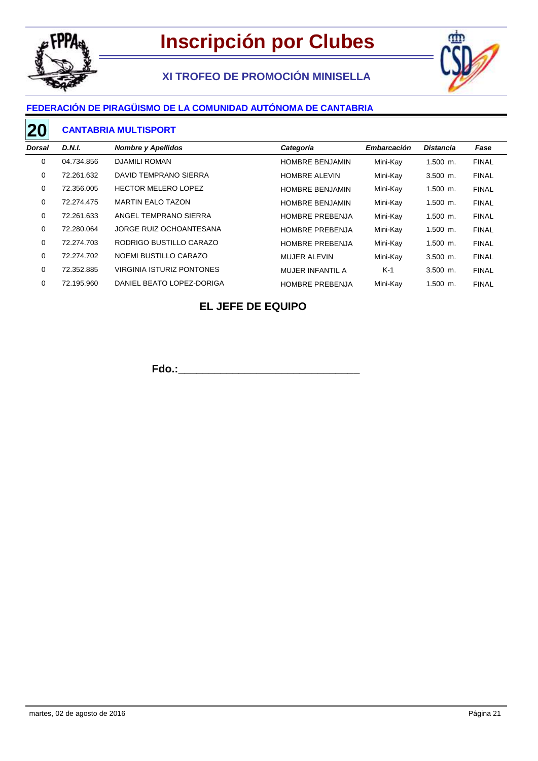

# **XI TROFEO DE PROMOCIÓN MINISELLA**



### **FEDERACIÓN DE PIRAGÜISMO DE LA COMUNIDAD AUTÓNOMA DE CANTABRIA**

#### **CANTABRIA MULTISPORT 20**

| <b>Dorsal</b> | D.N.I.     | <b>Nombre y Apellidos</b>        | Categoría               | Embarcación | <b>Distancia</b> | Fase         |
|---------------|------------|----------------------------------|-------------------------|-------------|------------------|--------------|
| 0             | 04.734.856 | <b>DJAMILI ROMAN</b>             | <b>HOMBRE BENJAMIN</b>  | Mini-Kay    | $1.500$ m.       | <b>FINAL</b> |
| 0             | 72.261.632 | DAVID TEMPRANO SIERRA            | <b>HOMBRE ALEVIN</b>    | Mini-Kay    | $3.500$ m.       | <b>FINAL</b> |
| $\mathbf 0$   | 72.356.005 | <b>HECTOR MELERO LOPEZ</b>       | <b>HOMBRE BENJAMIN</b>  | Mini-Kay    | $1.500$ m.       | <b>FINAL</b> |
| 0             | 72.274.475 | <b>MARTIN EALO TAZON</b>         | <b>HOMBRE BENJAMIN</b>  | Mini-Kay    | $1.500$ m.       | <b>FINAL</b> |
| 0             | 72.261.633 | ANGEL TEMPRANO SIERRA            | <b>HOMBRE PREBENJA</b>  | Mini-Kay    | $1.500$ m.       | <b>FINAL</b> |
| 0             | 72.280.064 | JORGE RUIZ OCHOANTESANA          | <b>HOMBRE PREBENJA</b>  | Mini-Kay    | $1.500$ m.       | <b>FINAL</b> |
| 0             | 72.274.703 | RODRIGO BUSTILLO CARAZO          | <b>HOMBRE PREBENJA</b>  | Mini-Kay    | $1.500$ m.       | <b>FINAL</b> |
| 0             | 72.274.702 | NOEMI BUSTILLO CARAZO            | <b>MUJER ALEVIN</b>     | Mini-Kay    | $3.500$ m.       | <b>FINAL</b> |
| 0             | 72.352.885 | <b>VIRGINIA ISTURIZ PONTONES</b> | <b>MUJER INFANTIL A</b> | $K-1$       | $3.500$ m.       | <b>FINAL</b> |
| 0             | 72.195.960 | DANIEL BEATO LOPEZ-DORIGA        | <b>HOMBRE PREBENJA</b>  | Mini-Kay    | $1.500$ m.       | <b>FINAL</b> |

## **EL JEFE DE EQUIPO**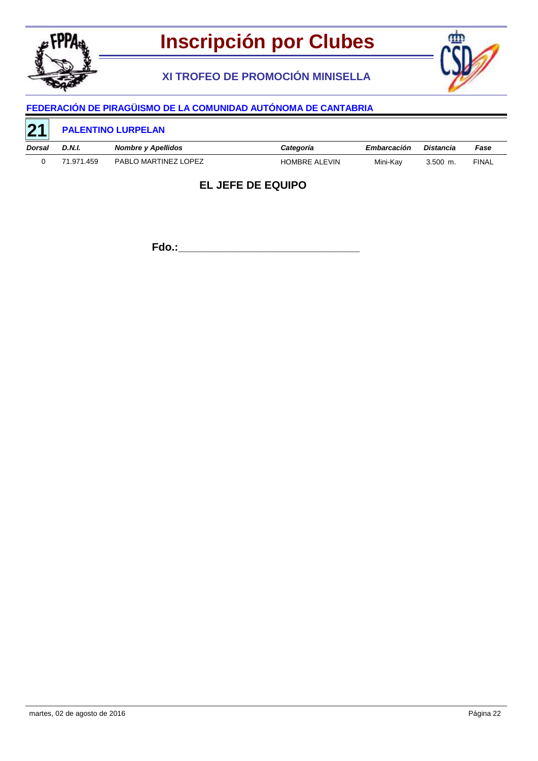

# **XI TROFEO DE PROMOCIÓN MINISELLA**



# **FEDERACIÓN DE PIRAGÜISMO DE LA COMUNIDAD AUTÓNOMA DE CANTABRIA**

| $\overline{21}$ | <b>PALENTINO LURPELAN</b> |                           |                      |             |            |              |  |
|-----------------|---------------------------|---------------------------|----------------------|-------------|------------|--------------|--|
| <b>Dorsal</b>   | D.N.I.                    | <b>Nombre y Apellidos</b> | Categoría            | Embarcación | Distancia  | Fase         |  |
|                 | 71.971.459                | PABLO MARTINEZ LOPEZ      | <b>HOMBRE ALEVIN</b> | Mini-Kav    | $3.500$ m. | <b>FINAL</b> |  |

### **EL JEFE DE EQUIPO**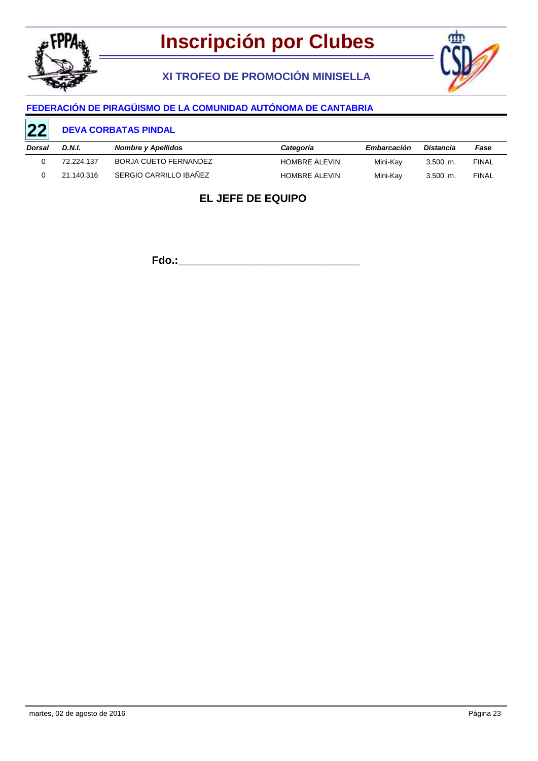

# **XI TROFEO DE PROMOCIÓN MINISELLA**



### **FEDERACIÓN DE PIRAGÜISMO DE LA COMUNIDAD AUTÓNOMA DE CANTABRIA**

#### **DEVA CORBATAS PINDAL 22**

| the control of the control of the control of<br>Dorsal | D.N.I.     | Nombre y Apellidos     | Categoría            | Embarcación | Distancia  | Fase         |
|--------------------------------------------------------|------------|------------------------|----------------------|-------------|------------|--------------|
|                                                        | 72.224.137 | BORJA CUETO FERNANDEZ  | <b>HOMBRE ALEVIN</b> | Mini-Kav    | $3.500$ m. | FINAL        |
|                                                        | 21.140.316 | SERGIO CARRILLO IBAÑEZ | <b>HOMBRE ALEVIN</b> | Mini-Kay    | $3.500$ m. | <b>FINAL</b> |

# **EL JEFE DE EQUIPO**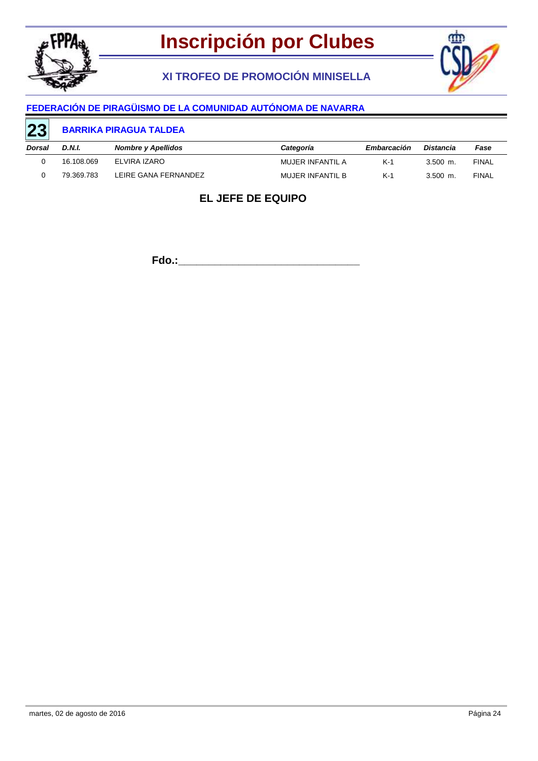

# **XI TROFEO DE PROMOCIÓN MINISELLA**



### **FEDERACIÓN DE PIRAGÜISMO DE LA COMUNIDAD AUTÓNOMA DE NAVARRA**

#### **BARRIKA PIRAGUA TALDEA 23**

| Dorsal | D.N.I.     | Nombre y Apellidos   | Categoría        | Embarcación | Distancia  | Fase         |
|--------|------------|----------------------|------------------|-------------|------------|--------------|
|        | 16.108.069 | ELVIRA IZARO         | MUJER INFANTIL A | K-1         | $3.500$ m. | FINAL        |
|        | 79.369.783 | LEIRE GANA FERNANDEZ | MUJER INFANTIL B | K-1         | $3.500$ m. | <b>FINAL</b> |

# **EL JEFE DE EQUIPO**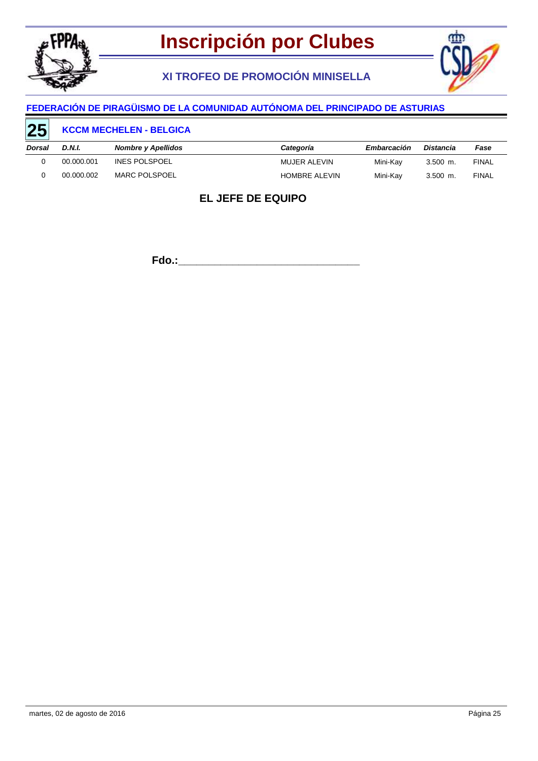

# **XI TROFEO DE PROMOCIÓN MINISELLA**



#### **FEDERACIÓN DE PIRAGÜISMO DE LA COMUNIDAD AUTÓNOMA DEL PRINCIPADO DE ASTURIAS**

#### **KCCM MECHELEN - BELGICA** *Dorsal D.N.I. Nombre y Apellidos* **25** *Categoría Embarcación Distancia Fase* 0 00.000.001 INES POLSPOEL **120 CONSERVING MUJER ALEVIN** Mini-Kay 3.500 m. FINAL 0 00.000.002 MARC POLSPOEL **12 CONTAINS HOMBRE ALEVIN** Mini-Kay 3.500 m. FINAL

### **EL JEFE DE EQUIPO**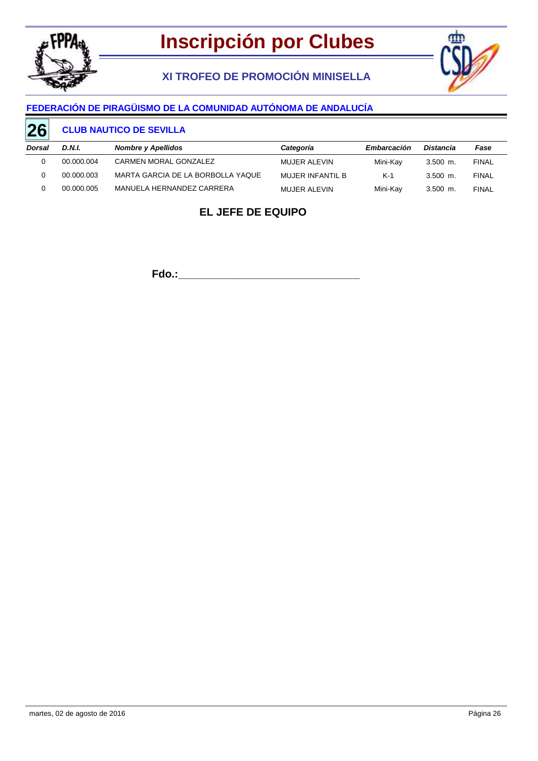

# **XI TROFEO DE PROMOCIÓN MINISELLA**



### **FEDERACIÓN DE PIRAGÜISMO DE LA COMUNIDAD AUTÓNOMA DE ANDALUCÍA**

#### **CLUB NAUTICO DE SEVILLA 26**

| Dorsal | D.N.I.     | <b>Nombre y Apellidos</b>         | Categoría        | Embarcación | Distancia  | Fase         |
|--------|------------|-----------------------------------|------------------|-------------|------------|--------------|
|        | 00.000.004 | CARMEN MORAL GONZALEZ             | MUJER ALEVIN     | Mini-Kav    | $3.500$ m. | <b>FINAL</b> |
|        | 00.000.003 | MARTA GARCIA DE LA BORBOLLA YAQUE | MUJER INFANTIL B | $K-1$       | $3.500$ m. | <b>FINAL</b> |
|        | 00.000.005 | MANUELA HERNANDEZ CARRERA         | MUJER ALEVIN     | Mini-Kav    | $3.500$ m. | <b>FINAL</b> |

## **EL JEFE DE EQUIPO**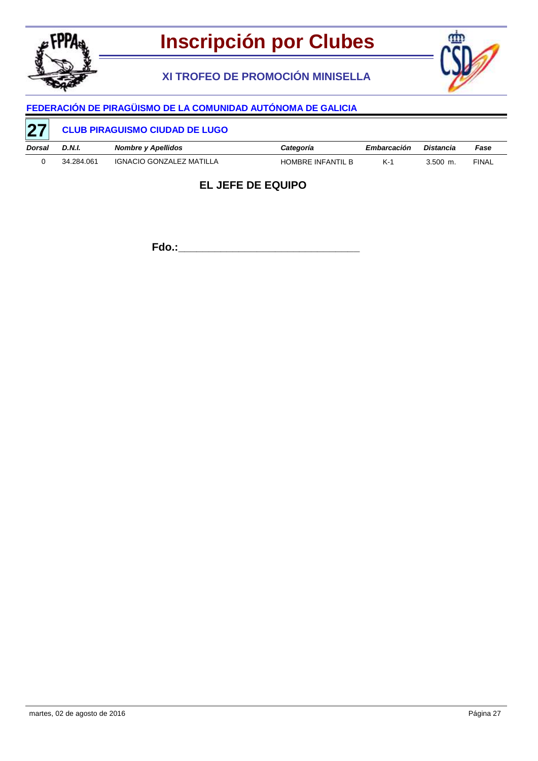

# **XI TROFEO DE PROMOCIÓN MINISELLA**



# **FEDERACIÓN DE PIRAGÜISMO DE LA COMUNIDAD AUTÓNOMA DE GALICIA**

| 27     | <b>CLUB PIRAGUISMO CIUDAD DE LUGO</b> |                          |                   |             |            |              |  |  |
|--------|---------------------------------------|--------------------------|-------------------|-------------|------------|--------------|--|--|
| Dorsal | D.N.I.                                | Nombre y Apellidos       | Categoría         | Embarcación | Distancia  | Fase         |  |  |
|        | 34.284.061                            | IGNACIO GONZALEZ MATILLA | HOMBRE INFANTIL B | $K-1$       | $3.500$ m. | <b>FINAL</b> |  |  |

### **EL JEFE DE EQUIPO**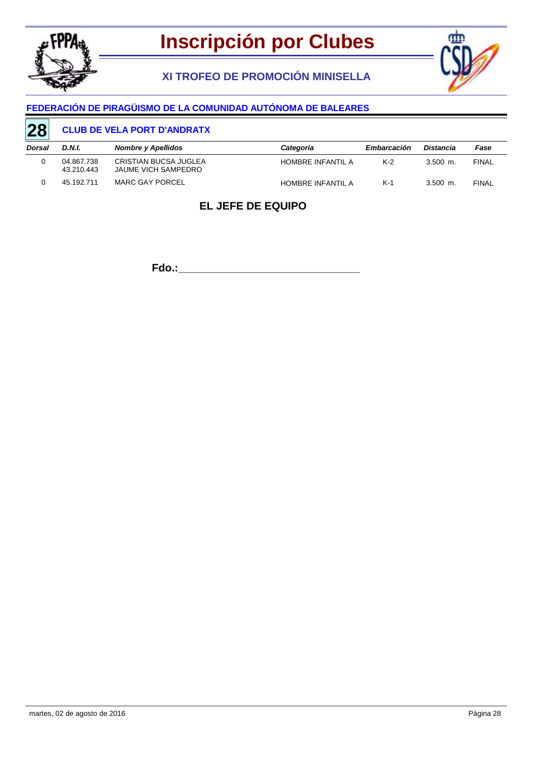

**XI TROFEO DE PROMOCIÓN MINISELLA**



### **FEDERACIÓN DE PIRAGÜISMO DE LA COMUNIDAD AUTÓNOMA DE BALEARES**

#### **CLUB DE VELA PORT D'ANDRATX 28**

| Dorsal | D.N.I.                   | <b>Nombre y Apellidos</b>                    | Categoría         | Embarcación | Distancia  | Fase         |
|--------|--------------------------|----------------------------------------------|-------------------|-------------|------------|--------------|
|        | 04.867.738<br>43.210.443 | CRISTIAN BUCSA JUGLEA<br>JAUME VICH SAMPEDRO | HOMBRE INFANTIL A | $K-2$       | $3.500$ m. | <b>FINAL</b> |
|        | 45.192.711               | MARC GAY PORCEL                              | HOMBRE INFANTIL A | K-1         | $3.500$ m. | <b>FINAL</b> |

## **EL JEFE DE EQUIPO**